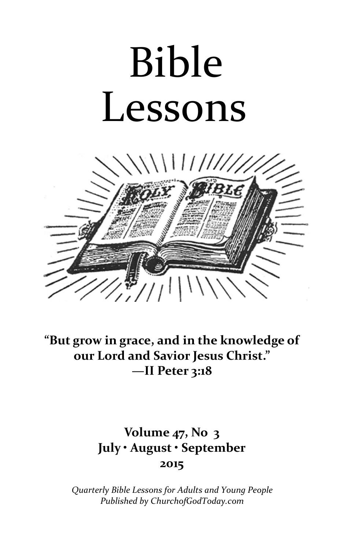# Bible Lessons



"But grow in grace, and in the knowledge of our Lord and Savior Jesus Christ." —II Peter 3:18

### Volume 47, No 3 July • August • September 2015

Quarterly Bible Lessons for Adults and Young People Published by ChurchofGodToday.com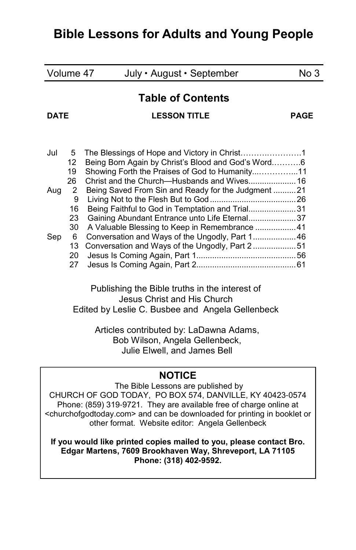| Volume 47                                        |          | July · August · September                                                                        | No 3        |
|--------------------------------------------------|----------|--------------------------------------------------------------------------------------------------|-------------|
| <b>DATF</b>                                      |          | <b>Table of Contents</b><br><b>LESSON TITLE</b>                                                  | <b>PAGE</b> |
|                                                  |          |                                                                                                  |             |
| Jul.                                             | 5        |                                                                                                  |             |
|                                                  | 12       | Being Born Again by Christ's Blood and God's Word6                                               |             |
|                                                  | 19       | Showing Forth the Praises of God to Humanity11                                                   |             |
|                                                  | 26       |                                                                                                  |             |
| Aug                                              | 2        | Being Saved From Sin and Ready for the Judgment 21                                               |             |
|                                                  | 9        |                                                                                                  |             |
|                                                  | 16<br>23 | Being Faithful to God in Temptation and Trial31<br>Gaining Abundant Entrance unto Life Eternal37 |             |
|                                                  | 30       | A Valuable Blessing to Keep in Remembrance  41                                                   |             |
| Sep                                              | 6        | Conversation and Ways of the Ungodly, Part 1 46                                                  |             |
|                                                  | 13       | Conversation and Ways of the Ungodly, Part 251                                                   |             |
|                                                  | 20       |                                                                                                  |             |
|                                                  | 27       |                                                                                                  |             |
|                                                  |          | Publishing the Bible truths in the interest of<br>Jesus Christ and His Church                    |             |
| Edited by Leslie C. Busbee and Angela Gellenbeck |          |                                                                                                  |             |

 Articles contributed by: LaDawna Adams, Bob Wilson, Angela Gellenbeck, Julie Elwell, and James Bell

#### **NOTICE**

 The Bible Lessons are published by CHURCH OF GOD TODAY, PO BOX 574, DANVILLE, KY 40423-0574 Phone: (859) 319-9721. They are available free of charge online at <churchofgodtoday.com> and can be downloaded for printing in booklet or other format. Website editor: Angela Gellenbeck

If you would like printed copies mailed to you, please contact Bro. Edgar Martens, 7609 Brookhaven Way, Shreveport, LA 71105 Phone: (318) 402**-**9592.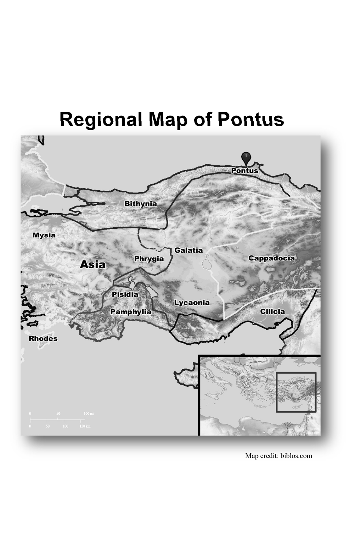## Regional Map of Pontus



Map credit: biblos.com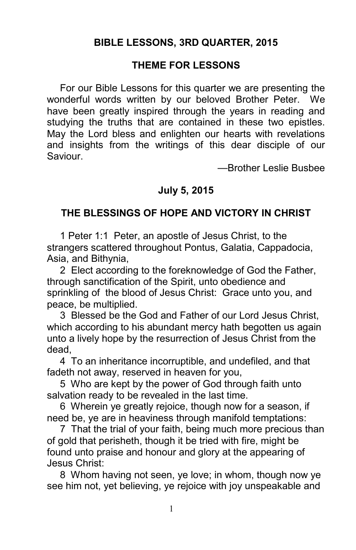#### BIBLE LESSONS, 3RD QUARTER, 2015

#### THEME FOR LESSONS

For our Bible Lessons for this quarter we are presenting the wonderful words written by our beloved Brother Peter. We have been greatly inspired through the years in reading and studying the truths that are contained in these two epistles. May the Lord bless and enlighten our hearts with revelations and insights from the writings of this dear disciple of our Saviour.

—Brother Leslie Busbee

#### July 5, 2015

#### THE BLESSINGS OF HOPE AND VICTORY IN CHRIST

1 Peter 1:1 Peter, an apostle of Jesus Christ, to the strangers scattered throughout Pontus, Galatia, Cappadocia, Asia, and Bithynia,

2 Elect according to the foreknowledge of God the Father, through sanctification of the Spirit, unto obedience and sprinkling of the blood of Jesus Christ: Grace unto you, and peace, be multiplied.

3 Blessed be the God and Father of our Lord Jesus Christ, which according to his abundant mercy hath begotten us again unto a lively hope by the resurrection of Jesus Christ from the dead,

4 To an inheritance incorruptible, and undefiled, and that fadeth not away, reserved in heaven for you,

5 Who are kept by the power of God through faith unto salvation ready to be revealed in the last time.

6 Wherein ye greatly rejoice, though now for a season, if need be, ye are in heaviness through manifold temptations:

7 That the trial of your faith, being much more precious than of gold that perisheth, though it be tried with fire, might be found unto praise and honour and glory at the appearing of Jesus Christ:

8 Whom having not seen, ye love; in whom, though now ye see him not, yet believing, ye rejoice with joy unspeakable and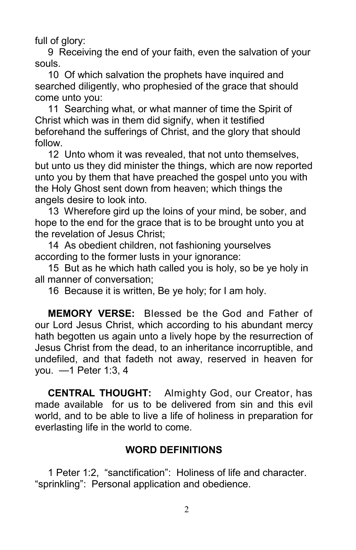full of glory:

9 Receiving the end of your faith, even the salvation of your souls.

10 Of which salvation the prophets have inquired and searched diligently, who prophesied of the grace that should come unto you:

11 Searching what, or what manner of time the Spirit of Christ which was in them did signify, when it testified beforehand the sufferings of Christ, and the glory that should follow.

12 Unto whom it was revealed, that not unto themselves, but unto us they did minister the things, which are now reported unto you by them that have preached the gospel unto you with the Holy Ghost sent down from heaven; which things the angels desire to look into.

13 Wherefore gird up the loins of your mind, be sober, and hope to the end for the grace that is to be brought unto you at the revelation of Jesus Christ;

14 As obedient children, not fashioning yourselves according to the former lusts in your ignorance:

15 But as he which hath called you is holy, so be ye holy in all manner of conversation;

16 Because it is written, Be ye holy; for I am holy.

MEMORY VERSE: Blessed be the God and Father of our Lord Jesus Christ, which according to his abundant mercy hath begotten us again unto a lively hope by the resurrection of Jesus Christ from the dead, to an inheritance incorruptible, and undefiled, and that fadeth not away, reserved in heaven for you. —1 Peter 1:3, 4

CENTRAL THOUGHT: Almighty God, our Creator, has made available for us to be delivered from sin and this evil world, and to be able to live a life of holiness in preparation for everlasting life in the world to come.

#### WORD DEFINITIONS

1 Peter 1:2, "sanctification": Holiness of life and character. "sprinkling": Personal application and obedience.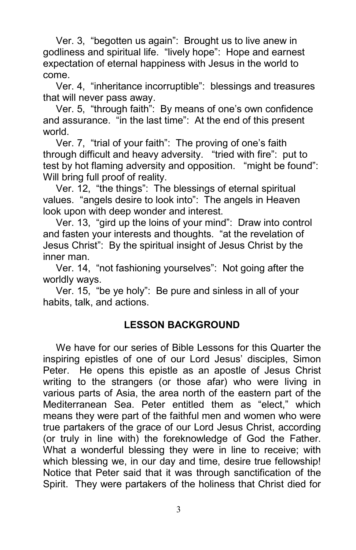Ver. 3, "begotten us again": Brought us to live anew in godliness and spiritual life. "lively hope": Hope and earnest expectation of eternal happiness with Jesus in the world to come.

Ver. 4, "inheritance incorruptible": blessings and treasures that will never pass away.

Ver. 5, "through faith": By means of one's own confidence and assurance. "in the last time": At the end of this present world.

Ver. 7, "trial of your faith": The proving of one's faith through difficult and heavy adversity. "tried with fire": put to test by hot flaming adversity and opposition. "might be found": Will bring full proof of reality.

Ver. 12, "the things": The blessings of eternal spiritual values. "angels desire to look into": The angels in Heaven look upon with deep wonder and interest.

Ver. 13, "gird up the loins of your mind": Draw into control and fasten your interests and thoughts. "at the revelation of Jesus Christ": By the spiritual insight of Jesus Christ by the inner man.

Ver. 14, "not fashioning yourselves": Not going after the worldly ways.

Ver. 15, "be ye holy": Be pure and sinless in all of your habits, talk, and actions.

#### LESSON BACKGROUND

We have for our series of Bible Lessons for this Quarter the inspiring epistles of one of our Lord Jesus' disciples, Simon Peter. He opens this epistle as an apostle of Jesus Christ writing to the strangers (or those afar) who were living in various parts of Asia, the area north of the eastern part of the Mediterranean Sea. Peter entitled them as "elect," which means they were part of the faithful men and women who were true partakers of the grace of our Lord Jesus Christ, according (or truly in line with) the foreknowledge of God the Father. What a wonderful blessing they were in line to receive; with which blessing we, in our day and time, desire true fellowship! Notice that Peter said that it was through sanctification of the Spirit. They were partakers of the holiness that Christ died for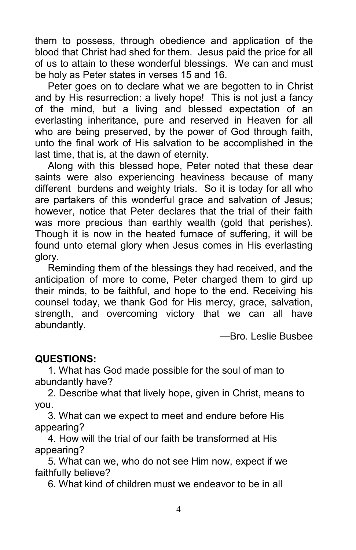them to possess, through obedience and application of the blood that Christ had shed for them. Jesus paid the price for all of us to attain to these wonderful blessings. We can and must be holy as Peter states in verses 15 and 16.

Peter goes on to declare what we are begotten to in Christ and by His resurrection: a lively hope! This is not just a fancy of the mind, but a living and blessed expectation of an everlasting inheritance, pure and reserved in Heaven for all who are being preserved, by the power of God through faith, unto the final work of His salvation to be accomplished in the last time, that is, at the dawn of eternity.

Along with this blessed hope, Peter noted that these dear saints were also experiencing heaviness because of many different burdens and weighty trials. So it is today for all who are partakers of this wonderful grace and salvation of Jesus; however, notice that Peter declares that the trial of their faith was more precious than earthly wealth (gold that perishes). Though it is now in the heated furnace of suffering, it will be found unto eternal glory when Jesus comes in His everlasting glory.

Reminding them of the blessings they had received, and the anticipation of more to come, Peter charged them to gird up their minds, to be faithful, and hope to the end. Receiving his counsel today, we thank God for His mercy, grace, salvation, strength, and overcoming victory that we can all have abundantly.

—Bro. Leslie Busbee

#### QUESTIONS:

1. What has God made possible for the soul of man to abundantly have?

2. Describe what that lively hope, given in Christ, means to you.

3. What can we expect to meet and endure before His appearing?

4. How will the trial of our faith be transformed at His appearing?

5. What can we, who do not see Him now, expect if we faithfully believe?

6. What kind of children must we endeavor to be in all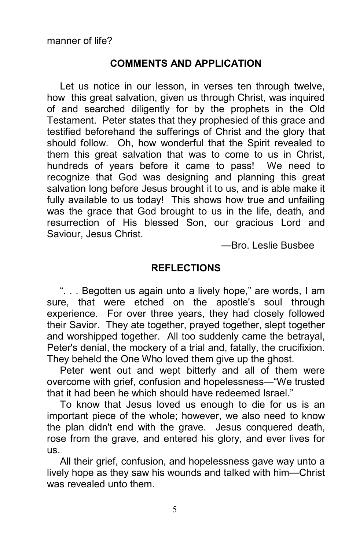#### COMMENTS AND APPLICATION

Let us notice in our lesson, in verses ten through twelve, how this great salvation, given us through Christ, was inquired of and searched diligently for by the prophets in the Old Testament. Peter states that they prophesied of this grace and testified beforehand the sufferings of Christ and the glory that should follow. Oh, how wonderful that the Spirit revealed to them this great salvation that was to come to us in Christ, hundreds of years before it came to pass! We need to recognize that God was designing and planning this great salvation long before Jesus brought it to us, and is able make it fully available to us today! This shows how true and unfailing was the grace that God brought to us in the life, death, and resurrection of His blessed Son, our gracious Lord and Saviour, Jesus Christ.

—Bro. Leslie Busbee

#### REFLECTIONS

". . . Begotten us again unto a lively hope," are words, I am sure, that were etched on the apostle's soul through experience. For over three years, they had closely followed their Savior. They ate together, prayed together, slept together and worshipped together. All too suddenly came the betrayal, Peter's denial, the mockery of a trial and, fatally, the crucifixion. They beheld the One Who loved them give up the ghost.

Peter went out and wept bitterly and all of them were overcome with grief, confusion and hopelessness—"We trusted that it had been he which should have redeemed Israel."

To know that Jesus loved us enough to die for us is an important piece of the whole; however, we also need to know the plan didn't end with the grave. Jesus conquered death, rose from the grave, and entered his glory, and ever lives for us.

All their grief, confusion, and hopelessness gave way unto a lively hope as they saw his wounds and talked with him—Christ was revealed unto them.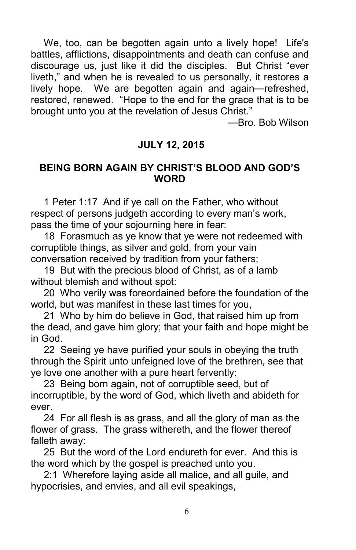We, too, can be begotten again unto a lively hope! Life's battles, afflictions, disappointments and death can confuse and discourage us, just like it did the disciples. But Christ "ever liveth," and when he is revealed to us personally, it restores a lively hope. We are begotten again and again—refreshed, restored, renewed. "Hope to the end for the grace that is to be brought unto you at the revelation of Jesus Christ."

—Bro. Bob Wilson

#### JULY 12, 2015

#### BEING BORN AGAIN BY CHRIST'S BLOOD AND GOD'S **WORD**

1 Peter 1:17 And if ye call on the Father, who without respect of persons judgeth according to every man's work, pass the time of your sojourning here in fear:

18 Forasmuch as ye know that ye were not redeemed with corruptible things, as silver and gold, from your vain conversation received by tradition from your fathers;

19 But with the precious blood of Christ, as of a lamb without blemish and without spot:

20 Who verily was foreordained before the foundation of the world, but was manifest in these last times for you,

21 Who by him do believe in God, that raised him up from the dead, and gave him glory; that your faith and hope might be in God.

22 Seeing ye have purified your souls in obeying the truth through the Spirit unto unfeigned love of the brethren, see that ye love one another with a pure heart fervently:

23 Being born again, not of corruptible seed, but of incorruptible, by the word of God, which liveth and abideth for ever.

24 For all flesh is as grass, and all the glory of man as the flower of grass. The grass withereth, and the flower thereof falleth away:

25 But the word of the Lord endureth for ever. And this is the word which by the gospel is preached unto you.

2:1 Wherefore laying aside all malice, and all guile, and hypocrisies, and envies, and all evil speakings,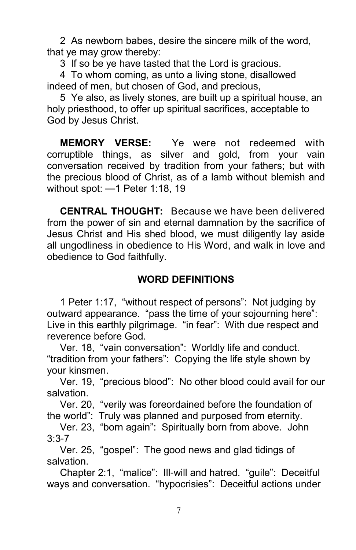2 As newborn babes, desire the sincere milk of the word, that ye may grow thereby:

3 If so be ye have tasted that the Lord is gracious.

4 To whom coming, as unto a living stone, disallowed indeed of men, but chosen of God, and precious,

5 Ye also, as lively stones, are built up a spiritual house, an holy priesthood, to offer up spiritual sacrifices, acceptable to God by Jesus Christ.

MEMORY VERSE: Ye were not redeemed with corruptible things, as silver and gold, from your vain conversation received by tradition from your fathers; but with the precious blood of Christ, as of a lamb without blemish and without spot: —1 Peter 1:18, 19

CENTRAL THOUGHT: Because we have been delivered from the power of sin and eternal damnation by the sacrifice of Jesus Christ and His shed blood, we must diligently lay aside all ungodliness in obedience to His Word, and walk in love and obedience to God faithfully.

#### WORD DEFINITIONS

1 Peter 1:17, "without respect of persons": Not judging by outward appearance. "pass the time of your sojourning here": Live in this earthly pilgrimage. "in fear": With due respect and reverence before God.

Ver. 18, "vain conversation": Worldly life and conduct. "tradition from your fathers": Copying the life style shown by your kinsmen.

Ver. 19, "precious blood": No other blood could avail for our salvation.

Ver. 20, "verily was foreordained before the foundation of the world": Truly was planned and purposed from eternity.

Ver. 23, "born again": Spiritually born from above. John 3:3-7

Ver. 25, "gospel": The good news and glad tidings of salvation.

Chapter 2:1, "malice": Ill-will and hatred. "guile": Deceitful ways and conversation. "hypocrisies": Deceitful actions under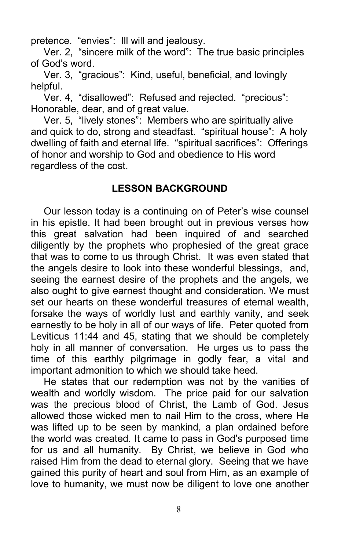pretence. "envies": Ill will and jealousy.

Ver. 2, "sincere milk of the word": The true basic principles of God's word.

Ver. 3, "gracious": Kind, useful, beneficial, and lovingly helpful.

Ver. 4, "disallowed": Refused and rejected. "precious": Honorable, dear, and of great value.

Ver. 5, "lively stones": Members who are spiritually alive and quick to do, strong and steadfast. "spiritual house": A holy dwelling of faith and eternal life. "spiritual sacrifices": Offerings of honor and worship to God and obedience to His word regardless of the cost.

#### LESSON BACKGROUND

Our lesson today is a continuing on of Peter's wise counsel in his epistle. It had been brought out in previous verses how this great salvation had been inquired of and searched diligently by the prophets who prophesied of the great grace that was to come to us through Christ. It was even stated that the angels desire to look into these wonderful blessings, and, seeing the earnest desire of the prophets and the angels, we also ought to give earnest thought and consideration. We must set our hearts on these wonderful treasures of eternal wealth, forsake the ways of worldly lust and earthly vanity, and seek earnestly to be holy in all of our ways of life. Peter quoted from Leviticus 11:44 and 45, stating that we should be completely holy in all manner of conversation. He urges us to pass the time of this earthly pilgrimage in godly fear, a vital and important admonition to which we should take heed.

He states that our redemption was not by the vanities of wealth and worldly wisdom. The price paid for our salvation was the precious blood of Christ, the Lamb of God. Jesus allowed those wicked men to nail Him to the cross, where He was lifted up to be seen by mankind, a plan ordained before the world was created. It came to pass in God's purposed time for us and all humanity. By Christ, we believe in God who raised Him from the dead to eternal glory. Seeing that we have gained this purity of heart and soul from Him, as an example of love to humanity, we must now be diligent to love one another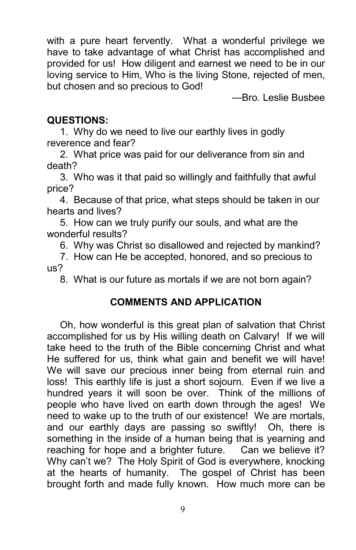with a pure heart fervently. What a wonderful privilege we have to take advantage of what Christ has accomplished and provided for us! How diligent and earnest we need to be in our loving service to Him, Who is the living Stone, rejected of men, but chosen and so precious to God!

—Bro. Leslie Busbee

#### QUESTIONS:

1. Why do we need to live our earthly lives in godly reverence and fear?

2. What price was paid for our deliverance from sin and death?

3. Who was it that paid so willingly and faithfully that awful price?

4. Because of that price, what steps should be taken in our hearts and lives?

5. How can we truly purify our souls, and what are the wonderful results?

6. Why was Christ so disallowed and rejected by mankind?

7. How can He be accepted, honored, and so precious to us?

8. What is our future as mortals if we are not born again?

#### COMMENTS AND APPLICATION

Oh, how wonderful is this great plan of salvation that Christ accomplished for us by His willing death on Calvary! If we will take heed to the truth of the Bible concerning Christ and what He suffered for us, think what gain and benefit we will have! We will save our precious inner being from eternal ruin and loss! This earthly life is just a short sojourn. Even if we live a hundred years it will soon be over. Think of the millions of people who have lived on earth down through the ages! We need to wake up to the truth of our existence! We are mortals, and our earthly days are passing so swiftly! Oh, there is something in the inside of a human being that is yearning and reaching for hope and a brighter future. Can we believe it? Why can't we? The Holy Spirit of God is everywhere, knocking at the hearts of humanity. The gospel of Christ has been brought forth and made fully known. How much more can be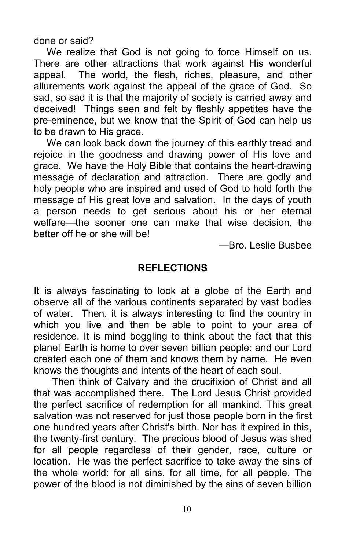done or said?

We realize that God is not going to force Himself on us. There are other attractions that work against His wonderful appeal. The world, the flesh, riches, pleasure, and other allurements work against the appeal of the grace of God. So sad, so sad it is that the majority of society is carried away and deceived! Things seen and felt by fleshly appetites have the pre-eminence, but we know that the Spirit of God can help us to be drawn to His grace.

We can look back down the journey of this earthly tread and rejoice in the goodness and drawing power of His love and grace. We have the Holy Bible that contains the heart-drawing message of declaration and attraction. There are godly and holy people who are inspired and used of God to hold forth the message of His great love and salvation. In the days of youth a person needs to get serious about his or her eternal welfare—the sooner one can make that wise decision, the better off he or she will be!

—Bro. Leslie Busbee

#### **REFLECTIONS**

It is always fascinating to look at a globe of the Earth and observe all of the various continents separated by vast bodies of water. Then, it is always interesting to find the country in which you live and then be able to point to your area of residence. It is mind boggling to think about the fact that this planet Earth is home to over seven billion people: and our Lord created each one of them and knows them by name. He even knows the thoughts and intents of the heart of each soul.

 Then think of Calvary and the crucifixion of Christ and all that was accomplished there. The Lord Jesus Christ provided the perfect sacrifice of redemption for all mankind. This great salvation was not reserved for just those people born in the first one hundred years after Christ's birth. Nor has it expired in this, the twenty-first century. The precious blood of Jesus was shed for all people regardless of their gender, race, culture or location. He was the perfect sacrifice to take away the sins of the whole world: for all sins, for all time, for all people. The power of the blood is not diminished by the sins of seven billion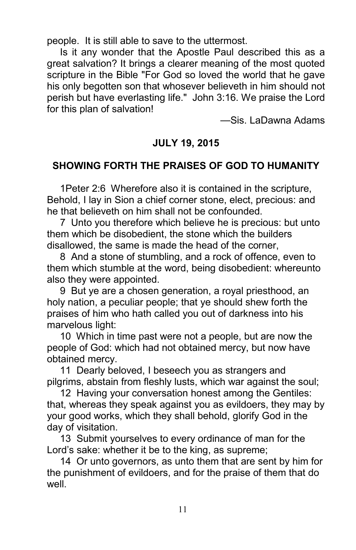people. It is still able to save to the uttermost.

Is it any wonder that the Apostle Paul described this as a great salvation? It brings a clearer meaning of the most quoted scripture in the Bible "For God so loved the world that he gave his only begotten son that whosever believeth in him should not perish but have everlasting life." John 3:16. We praise the Lord for this plan of salvation!

—Sis. LaDawna Adams

#### JULY 19, 2015

#### SHOWING FORTH THE PRAISES OF GOD TO HUMANITY

1Peter 2:6 Wherefore also it is contained in the scripture, Behold, I lay in Sion a chief corner stone, elect, precious: and he that believeth on him shall not be confounded.

7 Unto you therefore which believe he is precious: but unto them which be disobedient, the stone which the builders disallowed, the same is made the head of the corner,

8 And a stone of stumbling, and a rock of offence, even to them which stumble at the word, being disobedient: whereunto also they were appointed.

9 But ye are a chosen generation, a royal priesthood, an holy nation, a peculiar people; that ye should shew forth the praises of him who hath called you out of darkness into his marvelous light:

10 Which in time past were not a people, but are now the people of God: which had not obtained mercy, but now have obtained mercy.

11 Dearly beloved, I beseech you as strangers and pilgrims, abstain from fleshly lusts, which war against the soul;

12 Having your conversation honest among the Gentiles: that, whereas they speak against you as evildoers, they may by your good works, which they shall behold, glorify God in the day of visitation.

13 Submit yourselves to every ordinance of man for the Lord's sake: whether it be to the king, as supreme;

14 Or unto governors, as unto them that are sent by him for the punishment of evildoers, and for the praise of them that do well.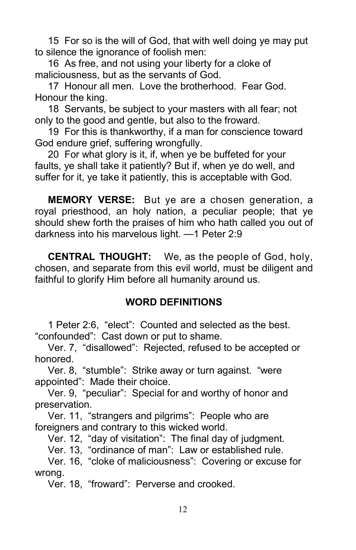15 For so is the will of God, that with well doing ye may put to silence the ignorance of foolish men:

16 As free, and not using your liberty for a cloke of maliciousness, but as the servants of God.

17 Honour all men. Love the brotherhood. Fear God. Honour the king.

18 Servants, be subject to your masters with all fear; not only to the good and gentle, but also to the froward.

19 For this is thankworthy, if a man for conscience toward God endure grief, suffering wrongfully.

20 For what glory is it, if, when ye be buffeted for your faults, ye shall take it patiently? But if, when ye do well, and suffer for it, ye take it patiently, this is acceptable with God.

MEMORY VERSE: But ye are a chosen generation, a royal priesthood, an holy nation, a peculiar people; that ye should shew forth the praises of him who hath called you out of darkness into his marvelous light. —1 Peter 2:9

CENTRAL THOUGHT: We, as the people of God, holy, chosen, and separate from this evil world, must be diligent and faithful to glorify Him before all humanity around us.

#### WORD DEFINITIONS

1 Peter 2:6, "elect": Counted and selected as the best. "confounded": Cast down or put to shame.

Ver. 7, "disallowed": Rejected, refused to be accepted or honored.

Ver. 8, "stumble": Strike away or turn against. "were appointed": Made their choice.

Ver. 9, "peculiar": Special for and worthy of honor and preservation.

Ver. 11, "strangers and pilgrims": People who are foreigners and contrary to this wicked world.

Ver. 12, "day of visitation": The final day of judgment.

Ver. 13, "ordinance of man": Law or established rule.

Ver. 16, "cloke of maliciousness": Covering or excuse for wrong.

Ver. 18, "froward": Perverse and crooked.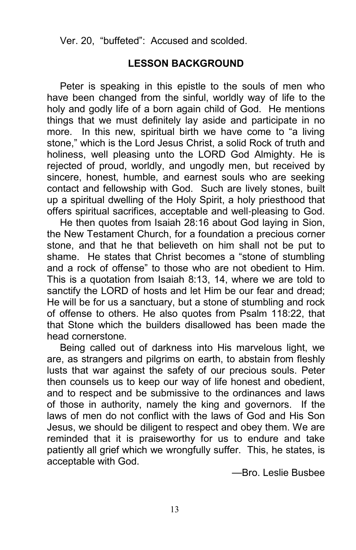Ver. 20, "buffeted": Accused and scolded.

#### LESSON BACKGROUND

Peter is speaking in this epistle to the souls of men who have been changed from the sinful, worldly way of life to the holy and godly life of a born again child of God. He mentions things that we must definitely lay aside and participate in no more. In this new, spiritual birth we have come to "a living stone," which is the Lord Jesus Christ, a solid Rock of truth and holiness, well pleasing unto the LORD God Almighty. He is rejected of proud, worldly, and ungodly men, but received by sincere, honest, humble, and earnest souls who are seeking contact and fellowship with God. Such are lively stones, built up a spiritual dwelling of the Holy Spirit, a holy priesthood that offers spiritual sacrifices, acceptable and well-pleasing to God.

He then quotes from Isaiah 28:16 about God laying in Sion, the New Testament Church, for a foundation a precious corner stone, and that he that believeth on him shall not be put to shame. He states that Christ becomes a "stone of stumbling and a rock of offense" to those who are not obedient to Him. This is a quotation from Isaiah 8:13, 14, where we are told to sanctify the LORD of hosts and let Him be our fear and dread; He will be for us a sanctuary, but a stone of stumbling and rock of offense to others. He also quotes from Psalm 118:22, that that Stone which the builders disallowed has been made the head cornerstone.

Being called out of darkness into His marvelous light, we are, as strangers and pilgrims on earth, to abstain from fleshly lusts that war against the safety of our precious souls. Peter then counsels us to keep our way of life honest and obedient, and to respect and be submissive to the ordinances and laws of those in authority, namely the king and governors. If the laws of men do not conflict with the laws of God and His Son Jesus, we should be diligent to respect and obey them. We are reminded that it is praiseworthy for us to endure and take patiently all grief which we wrongfully suffer. This, he states, is acceptable with God.

—Bro. Leslie Busbee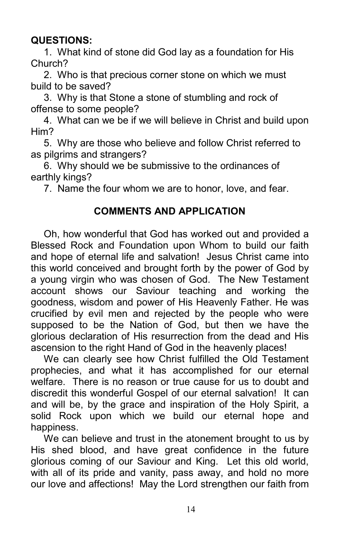#### QUESTIONS:

1. What kind of stone did God lay as a foundation for His Church?

2. Who is that precious corner stone on which we must build to be saved?

3. Why is that Stone a stone of stumbling and rock of offense to some people?

4. What can we be if we will believe in Christ and build upon Him?

5. Why are those who believe and follow Christ referred to as pilgrims and strangers?

6. Why should we be submissive to the ordinances of earthly kings?

7. Name the four whom we are to honor, love, and fear.

#### COMMENTS AND APPLICATION

Oh, how wonderful that God has worked out and provided a Blessed Rock and Foundation upon Whom to build our faith and hope of eternal life and salvation! Jesus Christ came into this world conceived and brought forth by the power of God by a young virgin who was chosen of God. The New Testament account shows our Saviour teaching and working the goodness, wisdom and power of His Heavenly Father. He was crucified by evil men and rejected by the people who were supposed to be the Nation of God, but then we have the glorious declaration of His resurrection from the dead and His ascension to the right Hand of God in the heavenly places!

We can clearly see how Christ fulfilled the Old Testament prophecies, and what it has accomplished for our eternal welfare. There is no reason or true cause for us to doubt and discredit this wonderful Gospel of our eternal salvation! It can and will be, by the grace and inspiration of the Holy Spirit, a solid Rock upon which we build our eternal hope and happiness.

We can believe and trust in the atonement brought to us by His shed blood, and have great confidence in the future glorious coming of our Saviour and King. Let this old world, with all of its pride and vanity, pass away, and hold no more our love and affections! May the Lord strengthen our faith from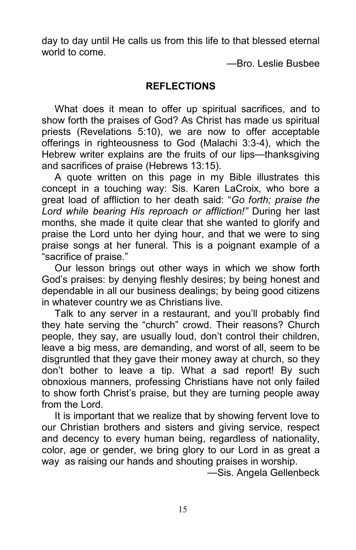day to day until He calls us from this life to that blessed eternal world to come.

—Bro. Leslie Busbee

#### **REFLECTIONS**

What does it mean to offer up spiritual sacrifices, and to show forth the praises of God? As Christ has made us spiritual priests (Revelations 5:10), we are now to offer acceptable offerings in righteousness to God (Malachi 3:3-4), which the Hebrew writer explains are the fruits of our lips—thanksgiving and sacrifices of praise (Hebrews 13:15).

A quote written on this page in my Bible illustrates this concept in a touching way: Sis. Karen LaCroix, who bore a great load of affliction to her death said: "Go forth; praise the Lord while bearing His reproach or affliction!" During her last months, she made it quite clear that she wanted to glorify and praise the Lord unto her dying hour, and that we were to sing praise songs at her funeral. This is a poignant example of a "sacrifice of praise."

Our lesson brings out other ways in which we show forth God's praises: by denying fleshly desires; by being honest and dependable in all our business dealings; by being good citizens in whatever country we as Christians live.

Talk to any server in a restaurant, and you'll probably find they hate serving the "church" crowd. Their reasons? Church people, they say, are usually loud, don't control their children, leave a big mess, are demanding, and worst of all, seem to be disgruntled that they gave their money away at church, so they don't bother to leave a tip. What a sad report! By such obnoxious manners, professing Christians have not only failed to show forth Christ's praise, but they are turning people away from the Lord.

It is important that we realize that by showing fervent love to our Christian brothers and sisters and giving service, respect and decency to every human being, regardless of nationality, color, age or gender, we bring glory to our Lord in as great a way as raising our hands and shouting praises in worship.

—Sis. Angela Gellenbeck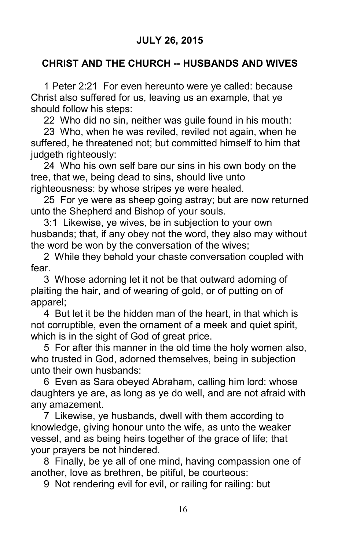#### JULY 26, 2015

#### CHRIST AND THE CHURCH **--** HUSBANDS AND WIVES

1 Peter 2:21 For even hereunto were ye called: because Christ also suffered for us, leaving us an example, that ye should follow his steps:

22 Who did no sin, neither was guile found in his mouth:

23 Who, when he was reviled, reviled not again, when he suffered, he threatened not; but committed himself to him that iudgeth righteously:

24 Who his own self bare our sins in his own body on the tree, that we, being dead to sins, should live unto righteousness: by whose stripes ye were healed.

25 For ye were as sheep going astray; but are now returned unto the Shepherd and Bishop of your souls.

3:1 Likewise, ye wives, be in subjection to your own husbands; that, if any obey not the word, they also may without the word be won by the conversation of the wives;

2 While they behold your chaste conversation coupled with fear.

3 Whose adorning let it not be that outward adorning of plaiting the hair, and of wearing of gold, or of putting on of apparel;

4 But let it be the hidden man of the heart, in that which is not corruptible, even the ornament of a meek and quiet spirit, which is in the sight of God of great price.

5 For after this manner in the old time the holy women also, who trusted in God, adorned themselves, being in subjection unto their own husbands:

6 Even as Sara obeyed Abraham, calling him lord: whose daughters ye are, as long as ye do well, and are not afraid with any amazement.

7 Likewise, ye husbands, dwell with them according to knowledge, giving honour unto the wife, as unto the weaker vessel, and as being heirs together of the grace of life; that your prayers be not hindered.

8 Finally, be ye all of one mind, having compassion one of another, love as brethren, be pitiful, be courteous:

9 Not rendering evil for evil, or railing for railing: but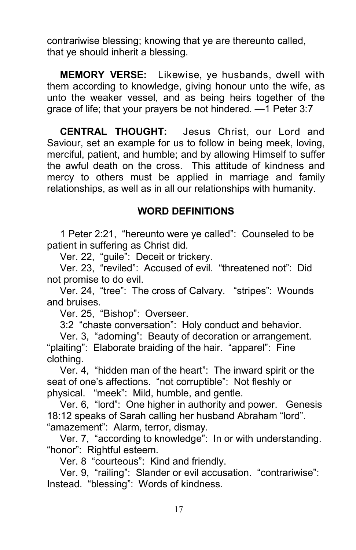contrariwise blessing; knowing that ye are thereunto called, that ye should inherit a blessing.

MEMORY VERSE: Likewise, ye husbands, dwell with them according to knowledge, giving honour unto the wife, as unto the weaker vessel, and as being heirs together of the grace of life; that your prayers be not hindered. —1 Peter 3:7

CENTRAL THOUGHT: Jesus Christ, our Lord and Saviour, set an example for us to follow in being meek, loving, merciful, patient, and humble; and by allowing Himself to suffer the awful death on the cross. This attitude of kindness and mercy to others must be applied in marriage and family relationships, as well as in all our relationships with humanity.

#### WORD DEFINITIONS

1 Peter 2:21, "hereunto were ye called": Counseled to be patient in suffering as Christ did.

Ver. 22, "guile": Deceit or trickery.

Ver. 23, "reviled": Accused of evil. "threatened not": Did not promise to do evil.

Ver. 24, "tree": The cross of Calvary. "stripes": Wounds and bruises.

Ver. 25, "Bishop": Overseer.

3:2 "chaste conversation": Holy conduct and behavior.

Ver. 3, "adorning": Beauty of decoration or arrangement. "plaiting": Elaborate braiding of the hair. "apparel": Fine clothing.

Ver. 4, "hidden man of the heart": The inward spirit or the seat of one's affections. "not corruptible": Not fleshly or physical. "meek": Mild, humble, and gentle.

Ver. 6, "lord": One higher in authority and power. Genesis 18:12 speaks of Sarah calling her husband Abraham "lord". "amazement": Alarm, terror, dismay.

Ver. 7, "according to knowledge": In or with understanding. "honor": Rightful esteem.

Ver. 8 "courteous": Kind and friendly.

Ver. 9, "railing": Slander or evil accusation. "contrariwise": Instead. "blessing": Words of kindness.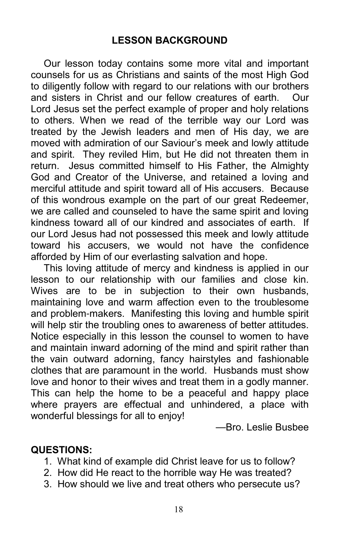Our lesson today contains some more vital and important counsels for us as Christians and saints of the most High God to diligently follow with regard to our relations with our brothers and sisters in Christ and our fellow creatures of earth. Our Lord Jesus set the perfect example of proper and holy relations to others. When we read of the terrible way our Lord was treated by the Jewish leaders and men of His day, we are moved with admiration of our Saviour's meek and lowly attitude and spirit. They reviled Him, but He did not threaten them in return. Jesus committed himself to His Father, the Almighty God and Creator of the Universe, and retained a loving and merciful attitude and spirit toward all of His accusers. Because of this wondrous example on the part of our great Redeemer, we are called and counseled to have the same spirit and loving kindness toward all of our kindred and associates of earth. If our Lord Jesus had not possessed this meek and lowly attitude toward his accusers, we would not have the confidence afforded by Him of our everlasting salvation and hope.

This loving attitude of mercy and kindness is applied in our lesson to our relationship with our families and close kin. Wives are to be in subjection to their own husbands, maintaining love and warm affection even to the troublesome and problem-makers. Manifesting this loving and humble spirit will help stir the troubling ones to awareness of better attitudes. Notice especially in this lesson the counsel to women to have and maintain inward adorning of the mind and spirit rather than the vain outward adorning, fancy hairstyles and fashionable clothes that are paramount in the world. Husbands must show love and honor to their wives and treat them in a godly manner. This can help the home to be a peaceful and happy place where prayers are effectual and unhindered, a place with wonderful blessings for all to enjoy!

—Bro. Leslie Busbee

#### QUESTIONS:

- 1. What kind of example did Christ leave for us to follow?
- 2. How did He react to the horrible way He was treated?
- 3. How should we live and treat others who persecute us?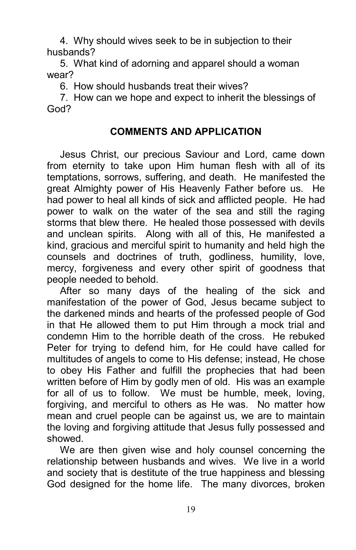4. Why should wives seek to be in subjection to their husbands?

5. What kind of adorning and apparel should a woman wear?

6. How should husbands treat their wives?

7. How can we hope and expect to inherit the blessings of God?

#### COMMENTS AND APPLICATION

Jesus Christ, our precious Saviour and Lord, came down from eternity to take upon Him human flesh with all of its temptations, sorrows, suffering, and death. He manifested the great Almighty power of His Heavenly Father before us. He had power to heal all kinds of sick and afflicted people. He had power to walk on the water of the sea and still the raging storms that blew there. He healed those possessed with devils and unclean spirits. Along with all of this, He manifested a kind, gracious and merciful spirit to humanity and held high the counsels and doctrines of truth, godliness, humility, love, mercy, forgiveness and every other spirit of goodness that people needed to behold.

After so many days of the healing of the sick and manifestation of the power of God, Jesus became subject to the darkened minds and hearts of the professed people of God in that He allowed them to put Him through a mock trial and condemn Him to the horrible death of the cross. He rebuked Peter for trying to defend him, for He could have called for multitudes of angels to come to His defense; instead, He chose to obey His Father and fulfill the prophecies that had been written before of Him by godly men of old. His was an example for all of us to follow. We must be humble, meek, loving, forgiving, and merciful to others as He was. No matter how mean and cruel people can be against us, we are to maintain the loving and forgiving attitude that Jesus fully possessed and showed.

We are then given wise and holy counsel concerning the relationship between husbands and wives. We live in a world and society that is destitute of the true happiness and blessing God designed for the home life. The many divorces, broken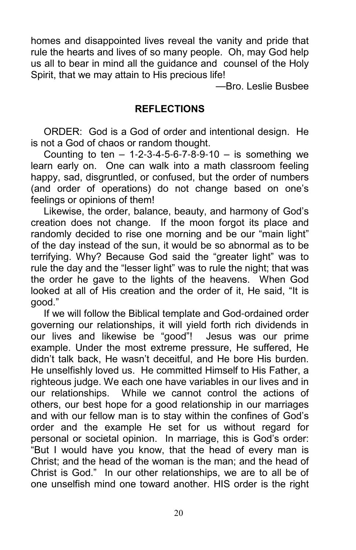homes and disappointed lives reveal the vanity and pride that rule the hearts and lives of so many people. Oh, may God help us all to bear in mind all the guidance and counsel of the Holy Spirit, that we may attain to His precious life!

—Bro. Leslie Busbee

#### REFLECTIONS

ORDER: God is a God of order and intentional design. He is not a God of chaos or random thought.

Counting to ten  $-1-2-3-4-5-6-7-8-9-10 -$  is something we learn early on. One can walk into a math classroom feeling happy, sad, disgruntled, or confused, but the order of numbers (and order of operations) do not change based on one's feelings or opinions of them!

Likewise, the order, balance, beauty, and harmony of God's creation does not change. If the moon forgot its place and randomly decided to rise one morning and be our "main light" of the day instead of the sun, it would be so abnormal as to be terrifying. Why? Because God said the "greater light" was to rule the day and the "lesser light" was to rule the night; that was the order he gave to the lights of the heavens. When God looked at all of His creation and the order of it, He said, "It is good."

If we will follow the Biblical template and God-ordained order governing our relationships, it will yield forth rich dividends in our lives and likewise be "good"! Jesus was our prime example. Under the most extreme pressure, He suffered, He didn't talk back, He wasn't deceitful, and He bore His burden. He unselfishly loved us. He committed Himself to His Father, a righteous judge. We each one have variables in our lives and in our relationships. While we cannot control the actions of others, our best hope for a good relationship in our marriages and with our fellow man is to stay within the confines of God's order and the example He set for us without regard for personal or societal opinion. In marriage, this is God's order: "But I would have you know, that the head of every man is Christ; and the head of the woman is the man; and the head of Christ is God." In our other relationships, we are to all be of one unselfish mind one toward another. HIS order is the right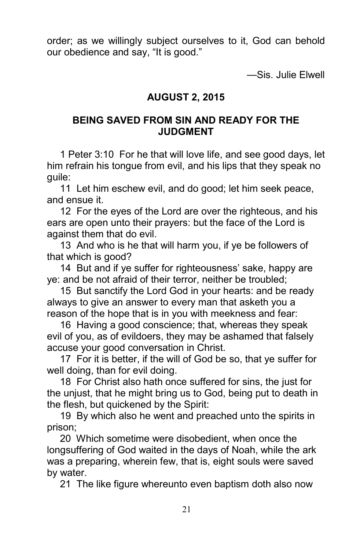order; as we willingly subject ourselves to it, God can behold our obedience and say, "It is good."

—Sis. Julie Elwell

#### AUGUST 2, 2015

#### BEING SAVED FROM SIN AND READY FOR THE JUDGMENT

1 Peter 3:10 For he that will love life, and see good days, let him refrain his tongue from evil, and his lips that they speak no guile:

11 Let him eschew evil, and do good; let him seek peace, and ensue it.

12 For the eyes of the Lord are over the righteous, and his ears are open unto their prayers: but the face of the Lord is against them that do evil.

13 And who is he that will harm you, if ye be followers of that which is good?

14 But and if ye suffer for righteousness' sake, happy are ye: and be not afraid of their terror, neither be troubled;

15 But sanctify the Lord God in your hearts: and be ready always to give an answer to every man that asketh you a reason of the hope that is in you with meekness and fear:

16 Having a good conscience; that, whereas they speak evil of you, as of evildoers, they may be ashamed that falsely accuse your good conversation in Christ.

17 For it is better, if the will of God be so, that ye suffer for well doing, than for evil doing.

18 For Christ also hath once suffered for sins, the just for the unjust, that he might bring us to God, being put to death in the flesh, but quickened by the Spirit:

19 By which also he went and preached unto the spirits in prison;

20 Which sometime were disobedient, when once the longsuffering of God waited in the days of Noah, while the ark was a preparing, wherein few, that is, eight souls were saved by water.

21 The like figure whereunto even baptism doth also now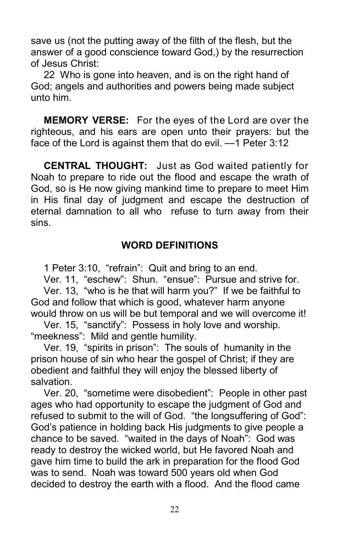save us (not the putting away of the filth of the flesh, but the answer of a good conscience toward God,) by the resurrection of Jesus Christ:

22 Who is gone into heaven, and is on the right hand of God; angels and authorities and powers being made subject unto him.

MEMORY VERSE: For the eyes of the Lord are over the righteous, and his ears are open unto their prayers: but the face of the Lord is against them that do evil. —1 Peter 3:12

CENTRAL THOUGHT: Just as God waited patiently for Noah to prepare to ride out the flood and escape the wrath of God, so is He now giving mankind time to prepare to meet Him in His final day of judgment and escape the destruction of eternal damnation to all who refuse to turn away from their sins.

#### WORD DEFINITIONS

1 Peter 3:10, "refrain": Quit and bring to an end.

Ver. 11, "eschew": Shun. "ensue": Pursue and strive for. Ver. 13, "who is he that will harm you?" If we be faithful to God and follow that which is good, whatever harm anyone would throw on us will be but temporal and we will overcome it!

Ver. 15, "sanctify": Possess in holy love and worship. "meekness": Mild and gentle humility.

Ver. 19, "spirits in prison": The souls of humanity in the prison house of sin who hear the gospel of Christ; if they are obedient and faithful they will enjoy the blessed liberty of salvation.

Ver. 20, "sometime were disobedient": People in other past ages who had opportunity to escape the judgment of God and refused to submit to the will of God. "the longsuffering of God": God's patience in holding back His judgments to give people a chance to be saved. "waited in the days of Noah": God was ready to destroy the wicked world, but He favored Noah and gave him time to build the ark in preparation for the flood God was to send. Noah was toward 500 years old when God decided to destroy the earth with a flood. And the flood came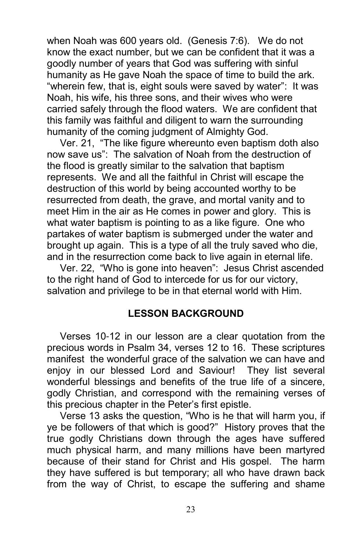when Noah was 600 years old. (Genesis 7:6). We do not know the exact number, but we can be confident that it was a goodly number of years that God was suffering with sinful humanity as He gave Noah the space of time to build the ark. "wherein few, that is, eight souls were saved by water": It was Noah, his wife, his three sons, and their wives who were carried safely through the flood waters. We are confident that this family was faithful and diligent to warn the surrounding humanity of the coming judgment of Almighty God.

Ver. 21, "The like figure whereunto even baptism doth also now save us": The salvation of Noah from the destruction of the flood is greatly similar to the salvation that baptism represents. We and all the faithful in Christ will escape the destruction of this world by being accounted worthy to be resurrected from death, the grave, and mortal vanity and to meet Him in the air as He comes in power and glory. This is what water baptism is pointing to as a like figure. One who partakes of water baptism is submerged under the water and brought up again. This is a type of all the truly saved who die, and in the resurrection come back to live again in eternal life.

Ver. 22, "Who is gone into heaven": Jesus Christ ascended to the right hand of God to intercede for us for our victory, salvation and privilege to be in that eternal world with Him.

#### LESSON BACKGROUND

Verses 10-12 in our lesson are a clear quotation from the precious words in Psalm 34, verses 12 to 16. These scriptures manifest the wonderful grace of the salvation we can have and enjoy in our blessed Lord and Saviour! They list several wonderful blessings and benefits of the true life of a sincere, godly Christian, and correspond with the remaining verses of this precious chapter in the Peter's first epistle.

Verse 13 asks the question, "Who is he that will harm you, if ye be followers of that which is good?" History proves that the true godly Christians down through the ages have suffered much physical harm, and many millions have been martyred because of their stand for Christ and His gospel. The harm they have suffered is but temporary; all who have drawn back from the way of Christ, to escape the suffering and shame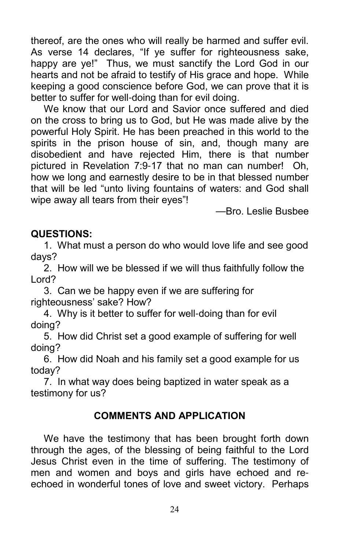thereof, are the ones who will really be harmed and suffer evil. As verse 14 declares, "If ye suffer for righteousness sake, happy are ye!" Thus, we must sanctify the Lord God in our hearts and not be afraid to testify of His grace and hope. While keeping a good conscience before God, we can prove that it is better to suffer for well-doing than for evil doing.

We know that our Lord and Savior once suffered and died on the cross to bring us to God, but He was made alive by the powerful Holy Spirit. He has been preached in this world to the spirits in the prison house of sin, and, though many are disobedient and have rejected Him, there is that number pictured in Revelation 7:9-17 that no man can number! Oh, how we long and earnestly desire to be in that blessed number that will be led "unto living fountains of waters: and God shall wipe away all tears from their eyes"!

—Bro. Leslie Busbee

#### QUESTIONS:

1. What must a person do who would love life and see good days?

2. How will we be blessed if we will thus faithfully follow the Lord?

3. Can we be happy even if we are suffering for righteousness' sake? How?

4. Why is it better to suffer for well-doing than for evil doing?

5. How did Christ set a good example of suffering for well doing?

6. How did Noah and his family set a good example for us today?

7. In what way does being baptized in water speak as a testimony for us?

#### COMMENTS AND APPLICATION

We have the testimony that has been brought forth down through the ages, of the blessing of being faithful to the Lord Jesus Christ even in the time of suffering. The testimony of men and women and boys and girls have echoed and reechoed in wonderful tones of love and sweet victory. Perhaps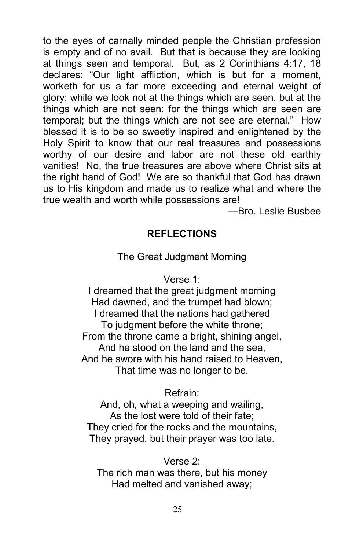to the eyes of carnally minded people the Christian profession is empty and of no avail. But that is because they are looking at things seen and temporal. But, as 2 Corinthians 4:17, 18 declares: "Our light affliction, which is but for a moment, worketh for us a far more exceeding and eternal weight of glory; while we look not at the things which are seen, but at the things which are not seen: for the things which are seen are temporal; but the things which are not see are eternal." How blessed it is to be so sweetly inspired and enlightened by the Holy Spirit to know that our real treasures and possessions worthy of our desire and labor are not these old earthly vanities! No, the true treasures are above where Christ sits at the right hand of God! We are so thankful that God has drawn us to His kingdom and made us to realize what and where the true wealth and worth while possessions are!

—Bro. Leslie Busbee

#### **REFLECTIONS**

#### The Great Judgment Morning

#### Verse 1:

I dreamed that the great judgment morning Had dawned, and the trumpet had blown; I dreamed that the nations had gathered To judgment before the white throne; From the throne came a bright, shining angel, And he stood on the land and the sea, And he swore with his hand raised to Heaven, That time was no longer to be.

#### Refrain:

And, oh, what a weeping and wailing, As the lost were told of their fate; They cried for the rocks and the mountains, They prayed, but their prayer was too late.

Verse 2: The rich man was there, but his money Had melted and vanished away;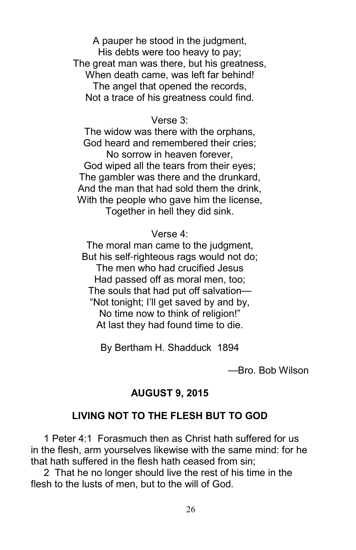A pauper he stood in the judgment, His debts were too heavy to pay; The great man was there, but his greatness, When death came, was left far behind! The angel that opened the records, Not a trace of his greatness could find.

#### Verse 3:

The widow was there with the orphans, God heard and remembered their cries; No sorrow in heaven forever, God wiped all the tears from their eyes; The gambler was there and the drunkard, And the man that had sold them the drink, With the people who gave him the license, Together in hell they did sink.

Verse 4:

The moral man came to the judgment, But his self-righteous rags would not do: The men who had crucified Jesus Had passed off as moral men, too; The souls that had put off salvation— "Not tonight; I'll get saved by and by, No time now to think of religion!" At last they had found time to die.

By Bertham H. Shadduck 1894

—Bro. Bob Wilson

#### AUGUST 9, 2015

#### LIVING NOT TO THE FLESH BUT TO GOD

1 Peter 4:1 Forasmuch then as Christ hath suffered for us in the flesh, arm yourselves likewise with the same mind: for he that hath suffered in the flesh hath ceased from sin;

2 That he no longer should live the rest of his time in the flesh to the lusts of men, but to the will of God.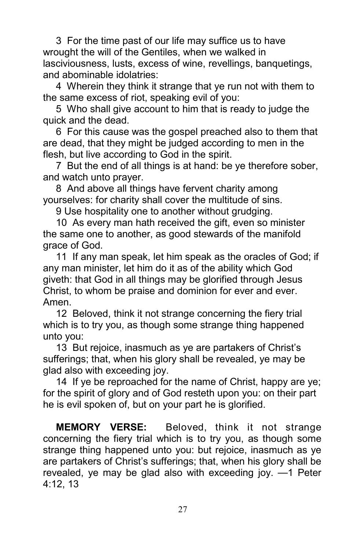3 For the time past of our life may suffice us to have wrought the will of the Gentiles, when we walked in lasciviousness, lusts, excess of wine, revellings, banquetings, and abominable idolatries:

4 Wherein they think it strange that ye run not with them to the same excess of riot, speaking evil of you:

5 Who shall give account to him that is ready to judge the quick and the dead.

6 For this cause was the gospel preached also to them that are dead, that they might be judged according to men in the flesh, but live according to God in the spirit.

7 But the end of all things is at hand: be ye therefore sober, and watch unto prayer.

8 And above all things have fervent charity among yourselves: for charity shall cover the multitude of sins.

9 Use hospitality one to another without grudging.

10 As every man hath received the gift, even so minister the same one to another, as good stewards of the manifold grace of God.

11 If any man speak, let him speak as the oracles of God; if any man minister, let him do it as of the ability which God giveth: that God in all things may be glorified through Jesus Christ, to whom be praise and dominion for ever and ever. Amen.

12 Beloved, think it not strange concerning the fiery trial which is to try you, as though some strange thing happened unto you:

13 But rejoice, inasmuch as ye are partakers of Christ's sufferings; that, when his glory shall be revealed, ye may be glad also with exceeding joy.

14 If ye be reproached for the name of Christ, happy are ye; for the spirit of glory and of God resteth upon you: on their part he is evil spoken of, but on your part he is glorified.

**MEMORY VERSE:** Beloved, think it not strange concerning the fiery trial which is to try you, as though some strange thing happened unto you: but rejoice, inasmuch as ye are partakers of Christ's sufferings; that, when his glory shall be revealed, ye may be glad also with exceeding joy. —1 Peter 4:12, 13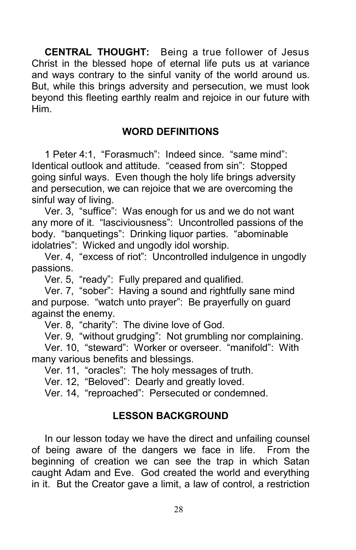CENTRAL THOUGHT: Being a true follower of Jesus Christ in the blessed hope of eternal life puts us at variance and ways contrary to the sinful vanity of the world around us. But, while this brings adversity and persecution, we must look beyond this fleeting earthly realm and rejoice in our future with Him.

#### WORD DEFINITIONS

1 Peter 4:1, "Forasmuch": Indeed since. "same mind": Identical outlook and attitude. "ceased from sin": Stopped going sinful ways. Even though the holy life brings adversity and persecution, we can rejoice that we are overcoming the sinful way of living.

Ver. 3, "suffice": Was enough for us and we do not want any more of it. "lasciviousness": Uncontrolled passions of the body. "banquetings": Drinking liquor parties. "abominable idolatries": Wicked and ungodly idol worship.

Ver. 4, "excess of riot": Uncontrolled indulgence in ungodly passions.

Ver. 5, "ready": Fully prepared and qualified.

Ver. 7, "sober": Having a sound and rightfully sane mind and purpose. "watch unto prayer": Be prayerfully on guard against the enemy.

Ver. 8, "charity": The divine love of God.

Ver. 9, "without grudging": Not grumbling nor complaining.

Ver. 10, "steward": Worker or overseer. "manifold": With many various benefits and blessings.

Ver. 11, "oracles": The holy messages of truth.

Ver. 12, "Beloved": Dearly and greatly loved.

Ver. 14, "reproached": Persecuted or condemned.

#### LESSON BACKGROUND

In our lesson today we have the direct and unfailing counsel of being aware of the dangers we face in life. From the beginning of creation we can see the trap in which Satan caught Adam and Eve. God created the world and everything in it. But the Creator gave a limit, a law of control, a restriction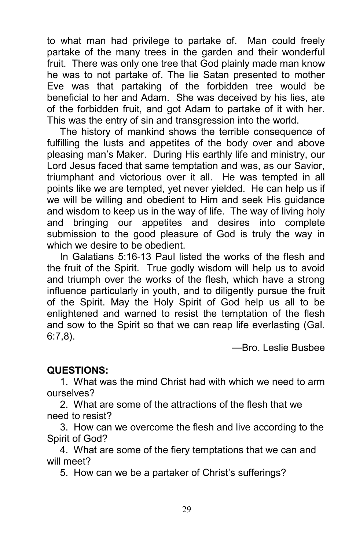to what man had privilege to partake of. Man could freely partake of the many trees in the garden and their wonderful fruit. There was only one tree that God plainly made man know he was to not partake of. The lie Satan presented to mother Eve was that partaking of the forbidden tree would be beneficial to her and Adam. She was deceived by his lies, ate of the forbidden fruit, and got Adam to partake of it with her. This was the entry of sin and transgression into the world.

The history of mankind shows the terrible consequence of fulfilling the lusts and appetites of the body over and above pleasing man's Maker. During His earthly life and ministry, our Lord Jesus faced that same temptation and was, as our Savior, triumphant and victorious over it all. He was tempted in all points like we are tempted, yet never yielded. He can help us if we will be willing and obedient to Him and seek His guidance and wisdom to keep us in the way of life. The way of living holy and bringing our appetites and desires into complete submission to the good pleasure of God is truly the way in which we desire to be obedient.

In Galatians 5:16-13 Paul listed the works of the flesh and the fruit of the Spirit. True godly wisdom will help us to avoid and triumph over the works of the flesh, which have a strong influence particularly in youth, and to diligently pursue the fruit of the Spirit. May the Holy Spirit of God help us all to be enlightened and warned to resist the temptation of the flesh and sow to the Spirit so that we can reap life everlasting (Gal. 6:7,8).

—Bro. Leslie Busbee

#### QUESTIONS:

1. What was the mind Christ had with which we need to arm ourselves?

2. What are some of the attractions of the flesh that we need to resist?

3. How can we overcome the flesh and live according to the Spirit of God?

4. What are some of the fiery temptations that we can and will meet?

5. How can we be a partaker of Christ's sufferings?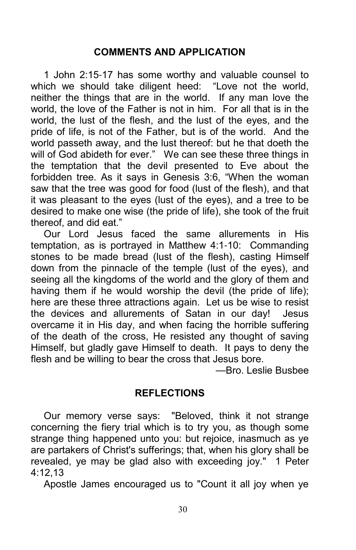#### COMMENTS AND APPLICATION

1 John 2:15-17 has some worthy and valuable counsel to which we should take diligent heed: "Love not the world, neither the things that are in the world. If any man love the world, the love of the Father is not in him. For all that is in the world, the lust of the flesh, and the lust of the eyes, and the pride of life, is not of the Father, but is of the world. And the world passeth away, and the lust thereof: but he that doeth the will of God abideth for ever." We can see these three things in the temptation that the devil presented to Eve about the forbidden tree. As it says in Genesis 3:6, "When the woman saw that the tree was good for food (lust of the flesh), and that it was pleasant to the eyes (lust of the eyes), and a tree to be desired to make one wise (the pride of life), she took of the fruit thereof, and did eat."

Our Lord Jesus faced the same allurements in His temptation, as is portrayed in Matthew 4:1-10: Commanding stones to be made bread (lust of the flesh), casting Himself down from the pinnacle of the temple (lust of the eyes), and seeing all the kingdoms of the world and the glory of them and having them if he would worship the devil (the pride of life); here are these three attractions again. Let us be wise to resist the devices and allurements of Satan in our day! Jesus overcame it in His day, and when facing the horrible suffering of the death of the cross, He resisted any thought of saving Himself, but gladly gave Himself to death. It pays to deny the flesh and be willing to bear the cross that Jesus bore.

—Bro. Leslie Busbee

#### **REFLECTIONS**

Our memory verse says: "Beloved, think it not strange concerning the fiery trial which is to try you, as though some strange thing happened unto you: but rejoice, inasmuch as ye are partakers of Christ's sufferings; that, when his glory shall be revealed, ye may be glad also with exceeding joy." 1 Peter 4:12,13

Apostle James encouraged us to "Count it all joy when ye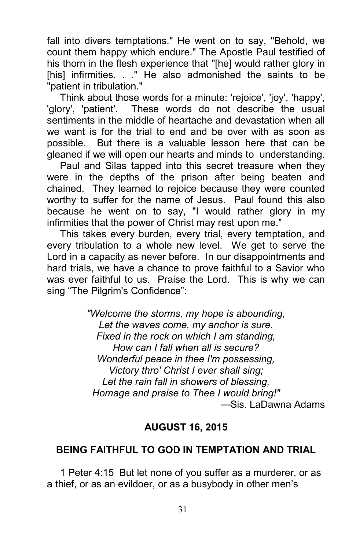fall into divers temptations." He went on to say, "Behold, we count them happy which endure." The Apostle Paul testified of his thorn in the flesh experience that "[he] would rather glory in [his] infirmities. . ." He also admonished the saints to be "patient in tribulation."

Think about those words for a minute: 'rejoice', 'joy', 'happy', 'glory', 'patient'. These words do not describe the usual sentiments in the middle of heartache and devastation when all we want is for the trial to end and be over with as soon as possible. But there is a valuable lesson here that can be gleaned if we will open our hearts and minds to understanding.

Paul and Silas tapped into this secret treasure when they were in the depths of the prison after being beaten and chained. They learned to rejoice because they were counted worthy to suffer for the name of Jesus. Paul found this also because he went on to say, "I would rather glory in my infirmities that the power of Christ may rest upon me."

This takes every burden, every trial, every temptation, and every tribulation to a whole new level. We get to serve the Lord in a capacity as never before. In our disappointments and hard trials, we have a chance to prove faithful to a Savior who was ever faithful to us. Praise the Lord. This is why we can sing "The Pilgrim's Confidence":

> "Welcome the storms, my hope is abounding, Let the waves come, my anchor is sure. Fixed in the rock on which I am standing, How can I fall when all is secure? Wonderful peace in thee I'm possessing, Victory thro' Christ I ever shall sing; Let the rain fall in showers of blessing, Homage and praise to Thee I would bring!" —Sis. LaDawna Adams

#### AUGUST 16, 2015

#### BEING FAITHFUL TO GOD IN TEMPTATION AND TRIAL

1 Peter 4:15 But let none of you suffer as a murderer, or as a thief, or as an evildoer, or as a busybody in other men's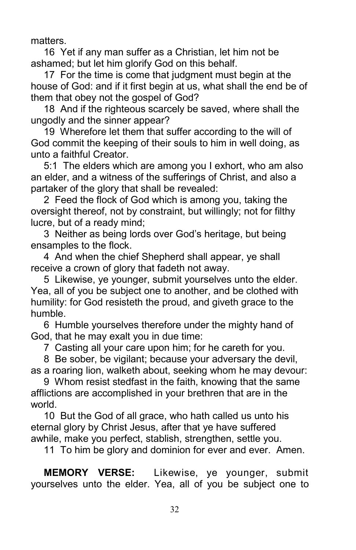matters.

16 Yet if any man suffer as a Christian, let him not be ashamed; but let him glorify God on this behalf.

17 For the time is come that judgment must begin at the house of God: and if it first begin at us, what shall the end be of them that obey not the gospel of God?

18 And if the righteous scarcely be saved, where shall the ungodly and the sinner appear?

19 Wherefore let them that suffer according to the will of God commit the keeping of their souls to him in well doing, as unto a faithful Creator.

5:1 The elders which are among you I exhort, who am also an elder, and a witness of the sufferings of Christ, and also a partaker of the glory that shall be revealed:

2 Feed the flock of God which is among you, taking the oversight thereof, not by constraint, but willingly; not for filthy lucre, but of a ready mind;

3 Neither as being lords over God's heritage, but being ensamples to the flock.

4 And when the chief Shepherd shall appear, ye shall receive a crown of glory that fadeth not away.

5 Likewise, ye younger, submit yourselves unto the elder. Yea, all of you be subject one to another, and be clothed with humility: for God resisteth the proud, and giveth grace to the humble.

6 Humble yourselves therefore under the mighty hand of God, that he may exalt you in due time:

7 Casting all your care upon him; for he careth for you.

8 Be sober, be vigilant; because your adversary the devil, as a roaring lion, walketh about, seeking whom he may devour:

9 Whom resist stedfast in the faith, knowing that the same afflictions are accomplished in your brethren that are in the world.

10 But the God of all grace, who hath called us unto his eternal glory by Christ Jesus, after that ye have suffered awhile, make you perfect, stablish, strengthen, settle you.

11 To him be glory and dominion for ever and ever. Amen.

MEMORY VERSE: Likewise, ye younger, submit yourselves unto the elder. Yea, all of you be subject one to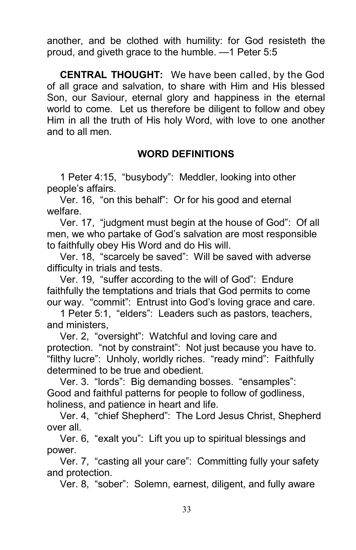another, and be clothed with humility: for God resisteth the proud, and giveth grace to the humble. —1 Peter 5:5

CENTRAL THOUGHT: We have been called, by the God of all grace and salvation, to share with Him and His blessed Son, our Saviour, eternal glory and happiness in the eternal world to come. Let us therefore be diligent to follow and obey Him in all the truth of His holy Word, with love to one another and to all men.

#### WORD DEFINITIONS

1 Peter 4:15, "busybody": Meddler, looking into other people's affairs.

Ver. 16, "on this behalf": Or for his good and eternal welfare.

Ver. 17, "judgment must begin at the house of God": Of all men, we who partake of God's salvation are most responsible to faithfully obey His Word and do His will.

Ver. 18, "scarcely be saved": Will be saved with adverse difficulty in trials and tests.

Ver. 19, "suffer according to the will of God": Endure faithfully the temptations and trials that God permits to come our way. "commit": Entrust into God's loving grace and care.

1 Peter 5:1, "elders": Leaders such as pastors, teachers, and ministers,

Ver. 2, "oversight": Watchful and loving care and protection. "not by constraint": Not just because you have to. "filthy lucre": Unholy, worldly riches. "ready mind": Faithfully determined to be true and obedient.

Ver. 3. "lords": Big demanding bosses. "ensamples": Good and faithful patterns for people to follow of godliness, holiness, and patience in heart and life.

Ver. 4, "chief Shepherd": The Lord Jesus Christ, Shepherd over all.

Ver. 6, "exalt you": Lift you up to spiritual blessings and power.

Ver. 7, "casting all your care": Committing fully your safety and protection.

Ver. 8, "sober": Solemn, earnest, diligent, and fully aware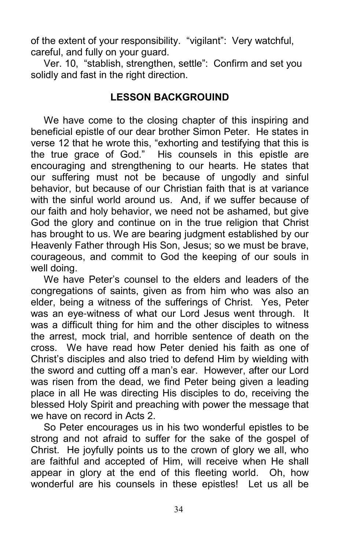of the extent of your responsibility. "vigilant": Very watchful, careful, and fully on your guard.

Ver. 10, "stablish, strengthen, settle": Confirm and set you solidly and fast in the right direction.

### LESSON BACKGROUIND

We have come to the closing chapter of this inspiring and beneficial epistle of our dear brother Simon Peter. He states in verse 12 that he wrote this, "exhorting and testifying that this is the true grace of God." His counsels in this epistle are encouraging and strengthening to our hearts. He states that our suffering must not be because of ungodly and sinful behavior, but because of our Christian faith that is at variance with the sinful world around us. And, if we suffer because of our faith and holy behavior, we need not be ashamed, but give God the glory and continue on in the true religion that Christ has brought to us. We are bearing judgment established by our Heavenly Father through His Son, Jesus; so we must be brave, courageous, and commit to God the keeping of our souls in well doing.

We have Peter's counsel to the elders and leaders of the congregations of saints, given as from him who was also an elder, being a witness of the sufferings of Christ. Yes, Peter was an eye-witness of what our Lord Jesus went through. It was a difficult thing for him and the other disciples to witness the arrest, mock trial, and horrible sentence of death on the cross. We have read how Peter denied his faith as one of Christ's disciples and also tried to defend Him by wielding with the sword and cutting off a man's ear. However, after our Lord was risen from the dead, we find Peter being given a leading place in all He was directing His disciples to do, receiving the blessed Holy Spirit and preaching with power the message that we have on record in Acts 2.

So Peter encourages us in his two wonderful epistles to be strong and not afraid to suffer for the sake of the gospel of Christ. He joyfully points us to the crown of glory we all, who are faithful and accepted of Him, will receive when He shall appear in glory at the end of this fleeting world. Oh, how wonderful are his counsels in these epistles! Let us all be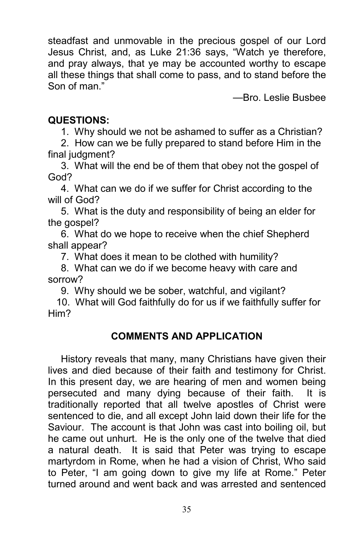steadfast and unmovable in the precious gospel of our Lord Jesus Christ, and, as Luke 21:36 says, "Watch ye therefore, and pray always, that ye may be accounted worthy to escape all these things that shall come to pass, and to stand before the Son of man."

—Bro. Leslie Busbee

## QUESTIONS:

1. Why should we not be ashamed to suffer as a Christian?

2. How can we be fully prepared to stand before Him in the final judgment?

3. What will the end be of them that obey not the gospel of God?

4. What can we do if we suffer for Christ according to the will of God?

5. What is the duty and responsibility of being an elder for the gospel?

6. What do we hope to receive when the chief Shepherd shall appear?

7. What does it mean to be clothed with humility?

8. What can we do if we become heavy with care and sorrow?

9. Why should we be sober, watchful, and vigilant?

 10. What will God faithfully do for us if we faithfully suffer for Him?

# COMMENTS AND APPLICATION

History reveals that many, many Christians have given their lives and died because of their faith and testimony for Christ. In this present day, we are hearing of men and women being persecuted and many dying because of their faith. It is traditionally reported that all twelve apostles of Christ were sentenced to die, and all except John laid down their life for the Saviour. The account is that John was cast into boiling oil, but he came out unhurt. He is the only one of the twelve that died a natural death. It is said that Peter was trying to escape martyrdom in Rome, when he had a vision of Christ, Who said to Peter, "I am going down to give my life at Rome." Peter turned around and went back and was arrested and sentenced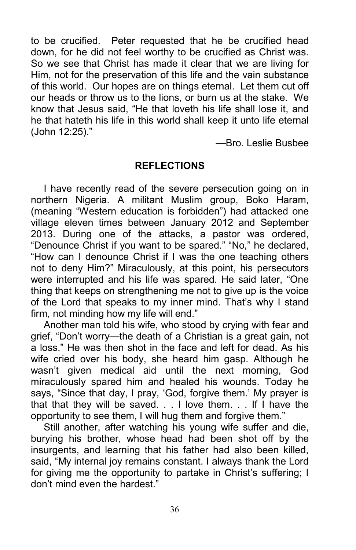to be crucified. Peter requested that he be crucified head down, for he did not feel worthy to be crucified as Christ was. So we see that Christ has made it clear that we are living for Him, not for the preservation of this life and the vain substance of this world. Our hopes are on things eternal. Let them cut off our heads or throw us to the lions, or burn us at the stake. We know that Jesus said, "He that loveth his life shall lose it, and he that hateth his life in this world shall keep it unto life eternal (John 12:25)."

—Bro. Leslie Busbee

### REFLECTIONS

I have recently read of the severe persecution going on in northern Nigeria. A militant Muslim group, Boko Haram, (meaning "Western education is forbidden") had attacked one village eleven times between January 2012 and September 2013. During one of the attacks, a pastor was ordered, "Denounce Christ if you want to be spared." "No," he declared, "How can I denounce Christ if I was the one teaching others not to deny Him?" Miraculously, at this point, his persecutors were interrupted and his life was spared. He said later, "One thing that keeps on strengthening me not to give up is the voice of the Lord that speaks to my inner mind. That's why I stand firm, not minding how my life will end."

Another man told his wife, who stood by crying with fear and grief, "Don't worry—the death of a Christian is a great gain, not a loss." He was then shot in the face and left for dead. As his wife cried over his body, she heard him gasp. Although he wasn't given medical aid until the next morning, God miraculously spared him and healed his wounds. Today he says, "Since that day, I pray, 'God, forgive them.' My prayer is that that they will be saved. . . I love them. . . If I have the opportunity to see them, I will hug them and forgive them."

Still another, after watching his young wife suffer and die, burying his brother, whose head had been shot off by the insurgents, and learning that his father had also been killed, said, "My internal joy remains constant. I always thank the Lord for giving me the opportunity to partake in Christ's suffering; I don't mind even the hardest."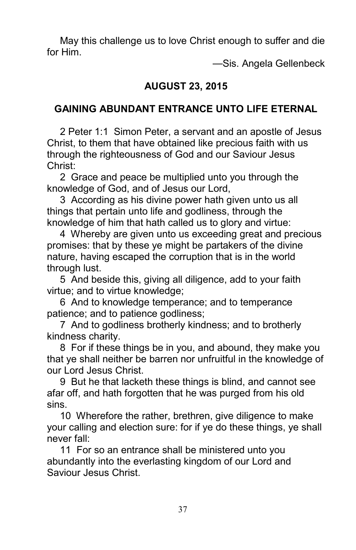May this challenge us to love Christ enough to suffer and die for Him.

—Sis. Angela Gellenbeck

## AUGUST 23, 2015

## GAINING ABUNDANT ENTRANCE UNTO LIFE ETERNAL

2 Peter 1:1 Simon Peter, a servant and an apostle of Jesus Christ, to them that have obtained like precious faith with us through the righteousness of God and our Saviour Jesus Christ:

2 Grace and peace be multiplied unto you through the knowledge of God, and of Jesus our Lord,

3 According as his divine power hath given unto us all things that pertain unto life and godliness, through the knowledge of him that hath called us to glory and virtue:

4 Whereby are given unto us exceeding great and precious promises: that by these ye might be partakers of the divine nature, having escaped the corruption that is in the world through lust.

5 And beside this, giving all diligence, add to your faith virtue; and to virtue knowledge;

6 And to knowledge temperance; and to temperance patience; and to patience godliness;

7 And to godliness brotherly kindness; and to brotherly kindness charity.

8 For if these things be in you, and abound, they make you that ye shall neither be barren nor unfruitful in the knowledge of our Lord Jesus Christ.

9 But he that lacketh these things is blind, and cannot see afar off, and hath forgotten that he was purged from his old sins.

10 Wherefore the rather, brethren, give diligence to make your calling and election sure: for if ye do these things, ye shall never fall:

11 For so an entrance shall be ministered unto you abundantly into the everlasting kingdom of our Lord and Saviour Jesus Christ.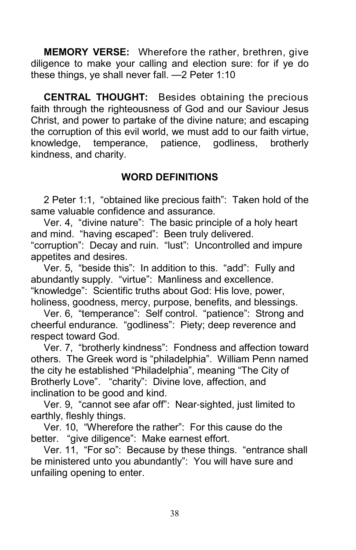MEMORY VERSE: Wherefore the rather, brethren, give diligence to make your calling and election sure: for if ye do these things, ye shall never fall. —2 Peter 1:10

CENTRAL THOUGHT: Besides obtaining the precious faith through the righteousness of God and our Saviour Jesus Christ, and power to partake of the divine nature; and escaping the corruption of this evil world, we must add to our faith virtue, knowledge, temperance, patience, godliness, brotherly kindness, and charity.

# WORD DEFINITIONS

2 Peter 1:1, "obtained like precious faith": Taken hold of the same valuable confidence and assurance.

Ver. 4, "divine nature": The basic principle of a holy heart and mind. "having escaped": Been truly delivered. "corruption": Decay and ruin. "lust": Uncontrolled and impure appetites and desires.

Ver. 5, "beside this": In addition to this. "add": Fully and abundantly supply. "virtue": Manliness and excellence. "knowledge": Scientific truths about God: His love, power, holiness, goodness, mercy, purpose, benefits, and blessings.

Ver. 6, "temperance": Self control. "patience": Strong and cheerful endurance. "godliness": Piety; deep reverence and respect toward God.

Ver. 7, "brotherly kindness": Fondness and affection toward others. The Greek word is "philadelphia". William Penn named the city he established "Philadelphia", meaning "The City of Brotherly Love". "charity": Divine love, affection, and inclination to be good and kind.

Ver. 9, "cannot see afar off": Near-sighted, just limited to earthly, fleshly things.

Ver. 10, "Wherefore the rather": For this cause do the better. "give diligence": Make earnest effort.

Ver. 11, "For so": Because by these things. "entrance shall be ministered unto you abundantly": You will have sure and unfailing opening to enter.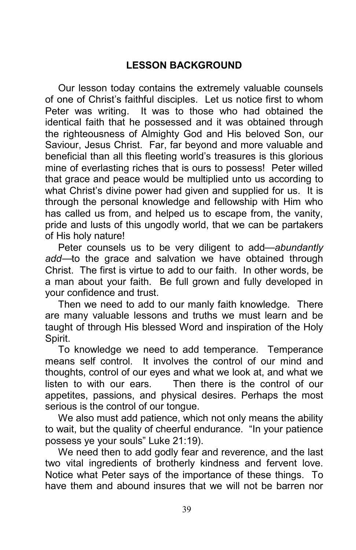# LESSON BACKGROUND

Our lesson today contains the extremely valuable counsels of one of Christ's faithful disciples. Let us notice first to whom Peter was writing. It was to those who had obtained the identical faith that he possessed and it was obtained through the righteousness of Almighty God and His beloved Son, our Saviour, Jesus Christ. Far, far beyond and more valuable and beneficial than all this fleeting world's treasures is this glorious mine of everlasting riches that is ours to possess! Peter willed that grace and peace would be multiplied unto us according to what Christ's divine power had given and supplied for us. It is through the personal knowledge and fellowship with Him who has called us from, and helped us to escape from, the vanity, pride and lusts of this ungodly world, that we can be partakers of His holy nature!

Peter counsels us to be very diligent to add—abundantly add—to the grace and salvation we have obtained through Christ. The first is virtue to add to our faith. In other words, be a man about your faith. Be full grown and fully developed in your confidence and trust.

Then we need to add to our manly faith knowledge. There are many valuable lessons and truths we must learn and be taught of through His blessed Word and inspiration of the Holy Spirit.

To knowledge we need to add temperance. Temperance means self control. It involves the control of our mind and thoughts, control of our eyes and what we look at, and what we listen to with our ears. Then there is the control of our appetites, passions, and physical desires. Perhaps the most serious is the control of our tongue.

We also must add patience, which not only means the ability to wait, but the quality of cheerful endurance. "In your patience possess ye your souls" Luke 21:19).

We need then to add godly fear and reverence, and the last two vital ingredients of brotherly kindness and fervent love. Notice what Peter says of the importance of these things. To have them and abound insures that we will not be barren nor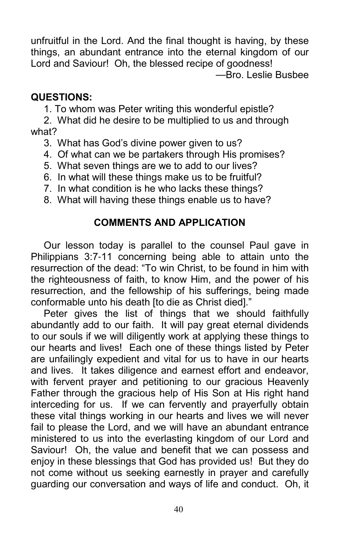unfruitful in the Lord. And the final thought is having, by these things, an abundant entrance into the eternal kingdom of our Lord and Saviour! Oh, the blessed recipe of goodness! —Bro. Leslie Busbee

## QUESTIONS:

1. To whom was Peter writing this wonderful epistle?

2. What did he desire to be multiplied to us and through what?

- 3. What has God's divine power given to us?
- 4. Of what can we be partakers through His promises?
- 5. What seven things are we to add to our lives?
- 6. In what will these things make us to be fruitful?
- 7. In what condition is he who lacks these things?
- 8. What will having these things enable us to have?

# COMMENTS AND APPLICATION

Our lesson today is parallel to the counsel Paul gave in Philippians 3:7-11 concerning being able to attain unto the resurrection of the dead: "To win Christ, to be found in him with the righteousness of faith, to know Him, and the power of his resurrection, and the fellowship of his sufferings, being made conformable unto his death [to die as Christ died]."

Peter gives the list of things that we should faithfully abundantly add to our faith. It will pay great eternal dividends to our souls if we will diligently work at applying these things to our hearts and lives! Each one of these things listed by Peter are unfailingly expedient and vital for us to have in our hearts and lives. It takes diligence and earnest effort and endeavor, with fervent prayer and petitioning to our gracious Heavenly Father through the gracious help of His Son at His right hand interceding for us. If we can fervently and prayerfully obtain these vital things working in our hearts and lives we will never fail to please the Lord, and we will have an abundant entrance ministered to us into the everlasting kingdom of our Lord and Saviour! Oh, the value and benefit that we can possess and enjoy in these blessings that God has provided us! But they do not come without us seeking earnestly in prayer and carefully guarding our conversation and ways of life and conduct. Oh, it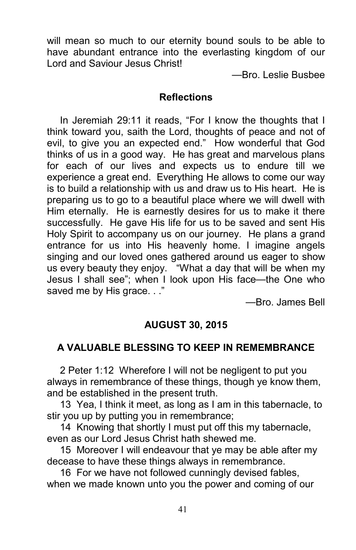will mean so much to our eternity bound souls to be able to have abundant entrance into the everlasting kingdom of our Lord and Saviour Jesus Christ!

—Bro. Leslie Busbee

#### **Reflections**

In Jeremiah 29:11 it reads, "For I know the thoughts that I think toward you, saith the Lord, thoughts of peace and not of evil, to give you an expected end." How wonderful that God thinks of us in a good way. He has great and marvelous plans for each of our lives and expects us to endure till we experience a great end. Everything He allows to come our way is to build a relationship with us and draw us to His heart. He is preparing us to go to a beautiful place where we will dwell with Him eternally. He is earnestly desires for us to make it there successfully. He gave His life for us to be saved and sent His Holy Spirit to accompany us on our journey. He plans a grand entrance for us into His heavenly home. I imagine angels singing and our loved ones gathered around us eager to show us every beauty they enjoy. "What a day that will be when my Jesus I shall see"; when I look upon His face—the One who saved me by His grace. . ."

—Bro. James Bell

## AUGUST 30, 2015

## A VALUABLE BLESSING TO KEEP IN REMEMBRANCE

2 Peter 1:12 Wherefore I will not be negligent to put you always in remembrance of these things, though ye know them, and be established in the present truth.

13 Yea, I think it meet, as long as I am in this tabernacle, to stir you up by putting you in remembrance;

14 Knowing that shortly I must put off this my tabernacle, even as our Lord Jesus Christ hath shewed me.

15 Moreover I will endeavour that ye may be able after my decease to have these things always in remembrance.

16 For we have not followed cunningly devised fables, when we made known unto you the power and coming of our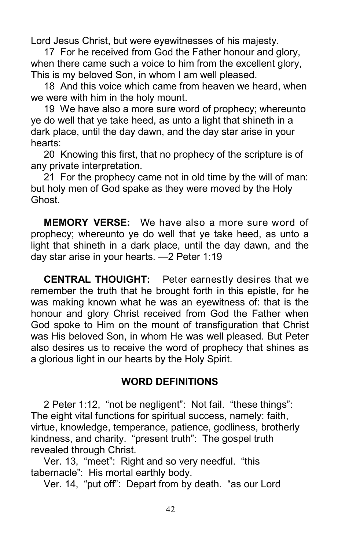Lord Jesus Christ, but were eyewitnesses of his majesty.

17 For he received from God the Father honour and glory, when there came such a voice to him from the excellent glory. This is my beloved Son, in whom I am well pleased.

18 And this voice which came from heaven we heard, when we were with him in the holy mount.

19 We have also a more sure word of prophecy; whereunto ye do well that ye take heed, as unto a light that shineth in a dark place, until the day dawn, and the day star arise in your hearts:

20 Knowing this first, that no prophecy of the scripture is of any private interpretation.

21 For the prophecy came not in old time by the will of man: but holy men of God spake as they were moved by the Holy Ghost.

MEMORY VERSE: We have also a more sure word of prophecy; whereunto ye do well that ye take heed, as unto a light that shineth in a dark place, until the day dawn, and the day star arise in your hearts. —2 Peter 1:19

CENTRAL THOUIGHT: Peter earnestly desires that we remember the truth that he brought forth in this epistle, for he was making known what he was an eyewitness of: that is the honour and glory Christ received from God the Father when God spoke to Him on the mount of transfiguration that Christ was His beloved Son, in whom He was well pleased. But Peter also desires us to receive the word of prophecy that shines as a glorious light in our hearts by the Holy Spirit.

### WORD DEFINITIONS

2 Peter 1:12, "not be negligent": Not fail. "these things": The eight vital functions for spiritual success, namely: faith, virtue, knowledge, temperance, patience, godliness, brotherly kindness, and charity. "present truth": The gospel truth revealed through Christ.

Ver. 13, "meet": Right and so very needful. "this tabernacle": His mortal earthly body.

Ver. 14, "put off": Depart from by death. "as our Lord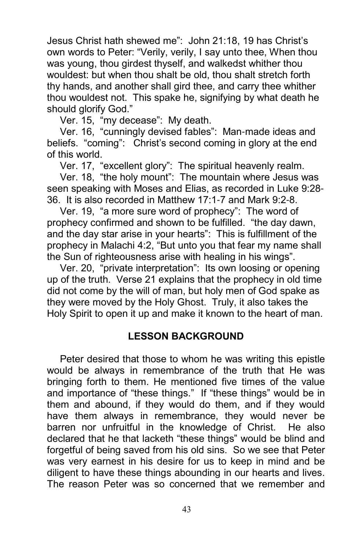Jesus Christ hath shewed me": John 21:18, 19 has Christ's own words to Peter: "Verily, verily, I say unto thee, When thou was young, thou girdest thyself, and walkedst whither thou wouldest: but when thou shalt be old, thou shalt stretch forth thy hands, and another shall gird thee, and carry thee whither thou wouldest not. This spake he, signifying by what death he should glorify God."

Ver. 15, "my decease": My death.

Ver. 16, "cunningly devised fables": Man-made ideas and beliefs. "coming": Christ's second coming in glory at the end of this world.

Ver. 17, "excellent glory": The spiritual heavenly realm.

Ver. 18, "the holy mount": The mountain where Jesus was seen speaking with Moses and Elias, as recorded in Luke 9:28- 36. It is also recorded in Matthew 17:1-7 and Mark 9:2-8.

Ver. 19, "a more sure word of prophecy": The word of prophecy confirmed and shown to be fulfilled. "the day dawn, and the day star arise in your hearts": This is fulfillment of the prophecy in Malachi 4:2, "But unto you that fear my name shall the Sun of righteousness arise with healing in his wings".

Ver. 20, "private interpretation": Its own loosing or opening up of the truth. Verse 21 explains that the prophecy in old time did not come by the will of man, but holy men of God spake as they were moved by the Holy Ghost. Truly, it also takes the Holy Spirit to open it up and make it known to the heart of man.

## LESSON BACKGROUND

Peter desired that those to whom he was writing this epistle would be always in remembrance of the truth that He was bringing forth to them. He mentioned five times of the value and importance of "these things." If "these things" would be in them and abound, if they would do them, and if they would have them always in remembrance, they would never be barren nor unfruitful in the knowledge of Christ. He also declared that he that lacketh "these things" would be blind and forgetful of being saved from his old sins. So we see that Peter was very earnest in his desire for us to keep in mind and be diligent to have these things abounding in our hearts and lives. The reason Peter was so concerned that we remember and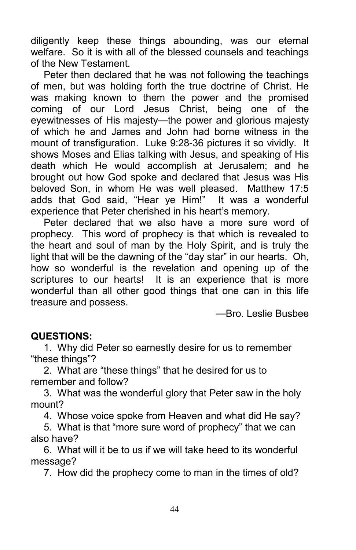diligently keep these things abounding, was our eternal welfare. So it is with all of the blessed counsels and teachings of the New Testament.

Peter then declared that he was not following the teachings of men, but was holding forth the true doctrine of Christ. He was making known to them the power and the promised coming of our Lord Jesus Christ, being one of the eyewitnesses of His majesty—the power and glorious majesty of which he and James and John had borne witness in the mount of transfiguration. Luke 9:28-36 pictures it so vividly. It shows Moses and Elias talking with Jesus, and speaking of His death which He would accomplish at Jerusalem; and he brought out how God spoke and declared that Jesus was His beloved Son, in whom He was well pleased. Matthew 17:5 adds that God said, "Hear ye Him!" It was a wonderful experience that Peter cherished in his heart's memory.

Peter declared that we also have a more sure word of prophecy. This word of prophecy is that which is revealed to the heart and soul of man by the Holy Spirit, and is truly the light that will be the dawning of the "day star" in our hearts. Oh, how so wonderful is the revelation and opening up of the scriptures to our hearts! It is an experience that is more wonderful than all other good things that one can in this life treasure and possess.

—Bro. Leslie Busbee

## QUESTIONS:

1. Why did Peter so earnestly desire for us to remember "these things"?

2. What are "these things" that he desired for us to remember and follow?

3. What was the wonderful glory that Peter saw in the holy mount?

4. Whose voice spoke from Heaven and what did He say?

5. What is that "more sure word of prophecy" that we can also have?

6. What will it be to us if we will take heed to its wonderful message?

7. How did the prophecy come to man in the times of old?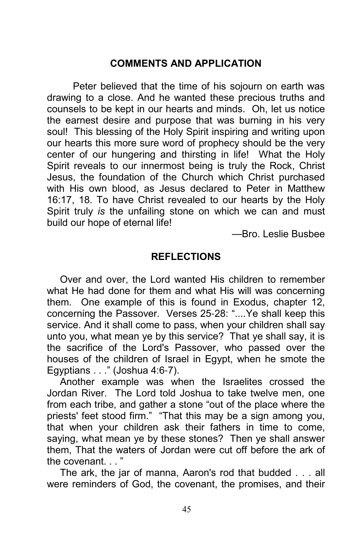### COMMENTS AND APPLICATION

 Peter believed that the time of his sojourn on earth was drawing to a close. And he wanted these precious truths and counsels to be kept in our hearts and minds. Oh, let us notice the earnest desire and purpose that was burning in his very soul! This blessing of the Holy Spirit inspiring and writing upon our hearts this more sure word of prophecy should be the very center of our hungering and thirsting in life! What the Holy Spirit reveals to our innermost being is truly the Rock, Christ Jesus, the foundation of the Church which Christ purchased with His own blood, as Jesus declared to Peter in Matthew 16:17, 18. To have Christ revealed to our hearts by the Holy Spirit truly is the unfailing stone on which we can and must build our hope of eternal life!

—Bro. Leslie Busbee

### **REFLECTIONS**

Over and over, the Lord wanted His children to remember what He had done for them and what His will was concerning them. One example of this is found in Exodus, chapter 12, concerning the Passover. Verses 25-28: "....Ye shall keep this service. And it shall come to pass, when your children shall say unto you, what mean ye by this service? That ye shall say, it is the sacrifice of the Lord's Passover, who passed over the houses of the children of Israel in Egypt, when he smote the Egyptians . . ." (Joshua 4:6-7).

Another example was when the Israelites crossed the Jordan River. The Lord told Joshua to take twelve men, one from each tribe, and gather a stone "out of the place where the priests' feet stood firm." "That this may be a sign among you, that when your children ask their fathers in time to come, saying, what mean ye by these stones? Then ye shall answer them, That the waters of Jordan were cut off before the ark of the covenant.

The ark, the jar of manna, Aaron's rod that budded . . . all were reminders of God, the covenant, the promises, and their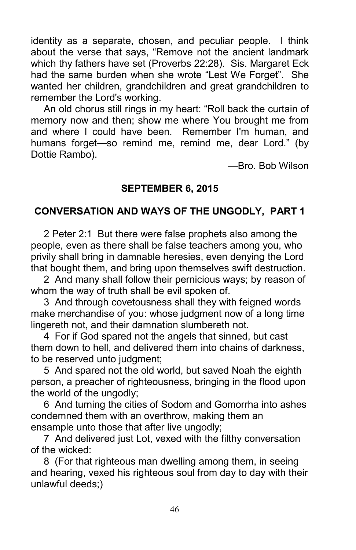identity as a separate, chosen, and peculiar people. I think about the verse that says, "Remove not the ancient landmark which thy fathers have set (Proverbs 22:28). Sis. Margaret Eck had the same burden when she wrote "Lest We Forget". She wanted her children, grandchildren and great grandchildren to remember the Lord's working.

An old chorus still rings in my heart: "Roll back the curtain of memory now and then; show me where You brought me from and where I could have been. Remember I'm human, and humans forget—so remind me, remind me, dear Lord." (by Dottie Rambo).

—Bro. Bob Wilson

## SEPTEMBER 6, 2015

# CONVERSATION AND WAYS OF THE UNGODLY, PART 1

2 Peter 2:1 But there were false prophets also among the people, even as there shall be false teachers among you, who privily shall bring in damnable heresies, even denying the Lord that bought them, and bring upon themselves swift destruction.

2 And many shall follow their pernicious ways; by reason of whom the way of truth shall be evil spoken of.

3 And through covetousness shall they with feigned words make merchandise of you: whose judgment now of a long time lingereth not, and their damnation slumbereth not.

4 For if God spared not the angels that sinned, but cast them down to hell, and delivered them into chains of darkness, to be reserved unto judgment;

5 And spared not the old world, but saved Noah the eighth person, a preacher of righteousness, bringing in the flood upon the world of the ungodly;

6 And turning the cities of Sodom and Gomorrha into ashes condemned them with an overthrow, making them an ensample unto those that after live ungodly;

7 And delivered just Lot, vexed with the filthy conversation of the wicked:

8 (For that righteous man dwelling among them, in seeing and hearing, vexed his righteous soul from day to day with their unlawful deeds;)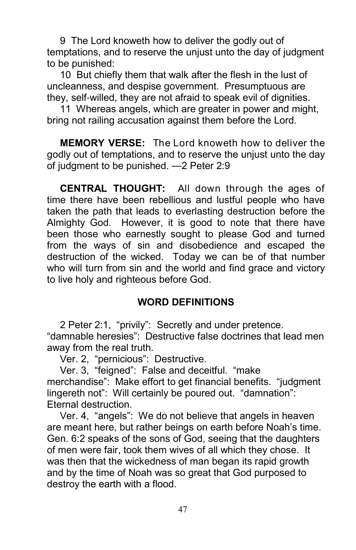9 The Lord knoweth how to deliver the godly out of temptations, and to reserve the unjust unto the day of judgment to be punished:

10 But chiefly them that walk after the flesh in the lust of uncleanness, and despise government. Presumptuous are they, self-willed, they are not afraid to speak evil of dignities.

11 Whereas angels, which are greater in power and might, bring not railing accusation against them before the Lord.

MEMORY VERSE: The Lord knoweth how to deliver the godly out of temptations, and to reserve the unjust unto the day of judgment to be punished. —2 Peter 2:9

CENTRAL THOUGHT: All down through the ages of time there have been rebellious and lustful people who have taken the path that leads to everlasting destruction before the Almighty God. However, it is good to note that there have been those who earnestly sought to please God and turned from the ways of sin and disobedience and escaped the destruction of the wicked. Today we can be of that number who will turn from sin and the world and find grace and victory to live holy and righteous before God.

## WORD DEFINITIONS

2 Peter 2:1, "privily": Secretly and under pretence. "damnable heresies": Destructive false doctrines that lead men away from the real truth.

Ver. 2, "pernicious": Destructive.

Ver. 3, "feigned": False and deceitful. "make merchandise": Make effort to get financial benefits. "judgment lingereth not": Will certainly be poured out. "damnation": Eternal destruction.

Ver. 4, "angels": We do not believe that angels in heaven are meant here, but rather beings on earth before Noah's time. Gen. 6:2 speaks of the sons of God, seeing that the daughters of men were fair, took them wives of all which they chose. It was then that the wickedness of man began its rapid growth and by the time of Noah was so great that God purposed to destroy the earth with a flood.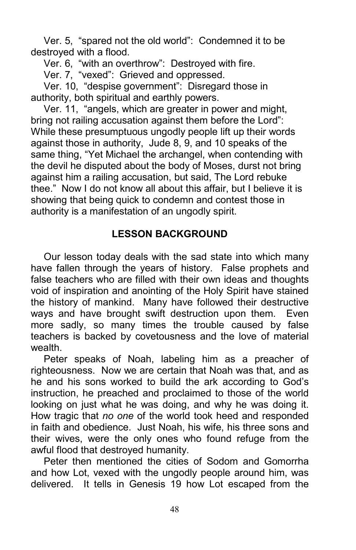Ver. 5, "spared not the old world": Condemned it to be destroyed with a flood.

Ver. 6, "with an overthrow": Destroyed with fire.

Ver. 7, "vexed": Grieved and oppressed.

Ver. 10, "despise government": Disregard those in authority, both spiritual and earthly powers.

Ver. 11, "angels, which are greater in power and might, bring not railing accusation against them before the Lord": While these presumptuous ungodly people lift up their words against those in authority, Jude 8, 9, and 10 speaks of the same thing, "Yet Michael the archangel, when contending with the devil he disputed about the body of Moses, durst not bring against him a railing accusation, but said, The Lord rebuke thee." Now I do not know all about this affair, but I believe it is showing that being quick to condemn and contest those in authority is a manifestation of an ungodly spirit.

## LESSON BACKGROUND

Our lesson today deals with the sad state into which many have fallen through the years of history. False prophets and false teachers who are filled with their own ideas and thoughts void of inspiration and anointing of the Holy Spirit have stained the history of mankind. Many have followed their destructive ways and have brought swift destruction upon them. Even more sadly, so many times the trouble caused by false teachers is backed by covetousness and the love of material wealth.

Peter speaks of Noah, labeling him as a preacher of righteousness. Now we are certain that Noah was that, and as he and his sons worked to build the ark according to God's instruction, he preached and proclaimed to those of the world looking on just what he was doing, and why he was doing it. How tragic that no one of the world took heed and responded in faith and obedience. Just Noah, his wife, his three sons and their wives, were the only ones who found refuge from the awful flood that destroyed humanity.

Peter then mentioned the cities of Sodom and Gomorrha and how Lot, vexed with the ungodly people around him, was delivered. It tells in Genesis 19 how Lot escaped from the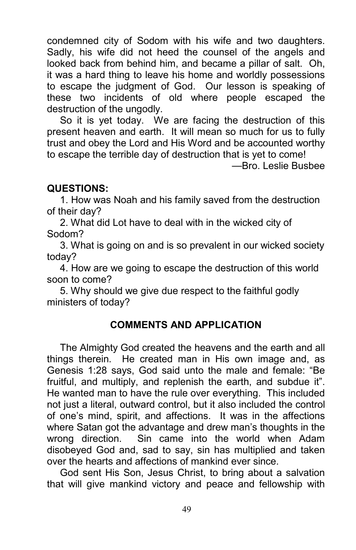condemned city of Sodom with his wife and two daughters. Sadly, his wife did not heed the counsel of the angels and looked back from behind him, and became a pillar of salt. Oh, it was a hard thing to leave his home and worldly possessions to escape the judgment of God. Our lesson is speaking of these two incidents of old where people escaped the destruction of the ungodly.

So it is yet today. We are facing the destruction of this present heaven and earth. It will mean so much for us to fully trust and obey the Lord and His Word and be accounted worthy to escape the terrible day of destruction that is yet to come!

—Bro. Leslie Busbee

#### QUESTIONS:

1. How was Noah and his family saved from the destruction of their day?

2. What did Lot have to deal with in the wicked city of Sodom?

3. What is going on and is so prevalent in our wicked society today?

4. How are we going to escape the destruction of this world soon to come?

5. Why should we give due respect to the faithful godly ministers of today?

## COMMENTS AND APPLICATION

The Almighty God created the heavens and the earth and all things therein. He created man in His own image and, as Genesis 1:28 says, God said unto the male and female: "Be fruitful, and multiply, and replenish the earth, and subdue it". He wanted man to have the rule over everything. This included not just a literal, outward control, but it also included the control of one's mind, spirit, and affections. It was in the affections where Satan got the advantage and drew man's thoughts in the wrong direction. Sin came into the world when Adam disobeyed God and, sad to say, sin has multiplied and taken over the hearts and affections of mankind ever since.

God sent His Son, Jesus Christ, to bring about a salvation that will give mankind victory and peace and fellowship with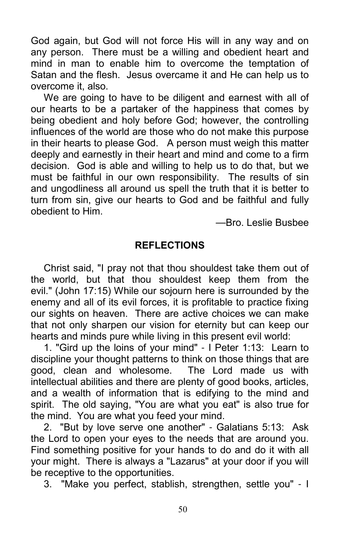God again, but God will not force His will in any way and on any person. There must be a willing and obedient heart and mind in man to enable him to overcome the temptation of Satan and the flesh. Jesus overcame it and He can help us to overcome it, also.

We are going to have to be diligent and earnest with all of our hearts to be a partaker of the happiness that comes by being obedient and holy before God; however, the controlling influences of the world are those who do not make this purpose in their hearts to please God. A person must weigh this matter deeply and earnestly in their heart and mind and come to a firm decision. God is able and willing to help us to do that, but we must be faithful in our own responsibility. The results of sin and ungodliness all around us spell the truth that it is better to turn from sin, give our hearts to God and be faithful and fully obedient to Him.

—Bro. Leslie Busbee

### **REFLECTIONS**

Christ said, "I pray not that thou shouldest take them out of the world, but that thou shouldest keep them from the evil." (John 17:15) While our sojourn here is surrounded by the enemy and all of its evil forces, it is profitable to practice fixing our sights on heaven. There are active choices we can make that not only sharpen our vision for eternity but can keep our hearts and minds pure while living in this present evil world:

1. "Gird up the loins of your mind" - I Peter 1:13: Learn to discipline your thought patterns to think on those things that are good, clean and wholesome. The Lord made us with intellectual abilities and there are plenty of good books, articles, and a wealth of information that is edifying to the mind and spirit. The old saying, "You are what you eat" is also true for the mind. You are what you feed your mind.

2. "But by love serve one another" - Galatians 5:13: Ask the Lord to open your eyes to the needs that are around you. Find something positive for your hands to do and do it with all your might. There is always a "Lazarus" at your door if you will be receptive to the opportunities.

3. "Make you perfect, stablish, strengthen, settle you" - I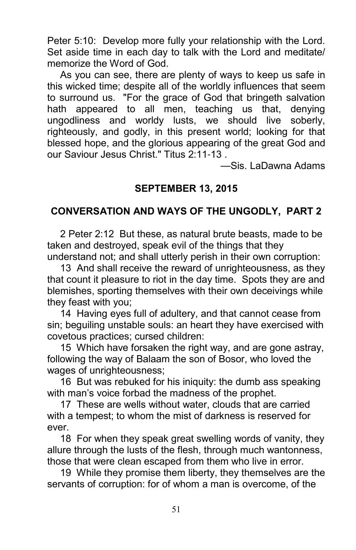Peter 5:10: Develop more fully your relationship with the Lord. Set aside time in each day to talk with the Lord and meditate/ memorize the Word of God.

As you can see, there are plenty of ways to keep us safe in this wicked time; despite all of the worldly influences that seem to surround us. "For the grace of God that bringeth salvation hath appeared to all men, teaching us that, denying ungodliness and worldy lusts, we should live soberly, righteously, and godly, in this present world; looking for that blessed hope, and the glorious appearing of the great God and our Saviour Jesus Christ." Titus 2:11-13 .

—Sis. LaDawna Adams

## SEPTEMBER 13, 2015

## CONVERSATION AND WAYS OF THE UNGODLY, PART 2

2 Peter 2:12 But these, as natural brute beasts, made to be taken and destroyed, speak evil of the things that they understand not; and shall utterly perish in their own corruption:

13 And shall receive the reward of unrighteousness, as they that count it pleasure to riot in the day time. Spots they are and blemishes, sporting themselves with their own deceivings while they feast with you;

14 Having eyes full of adultery, and that cannot cease from sin; beguiling unstable souls: an heart they have exercised with covetous practices; cursed children:

15 Which have forsaken the right way, and are gone astray, following the way of Balaam the son of Bosor, who loved the wages of unrighteousness;

16 But was rebuked for his iniquity: the dumb ass speaking with man's voice forbad the madness of the prophet.

17 These are wells without water, clouds that are carried with a tempest; to whom the mist of darkness is reserved for ever.

18 For when they speak great swelling words of vanity, they allure through the lusts of the flesh, through much wantonness, those that were clean escaped from them who live in error.

19 While they promise them liberty, they themselves are the servants of corruption: for of whom a man is overcome, of the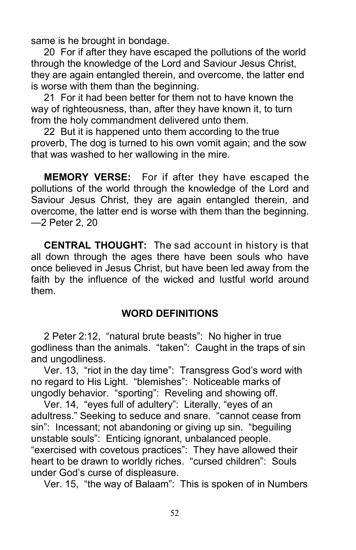same is he brought in bondage.

20 For if after they have escaped the pollutions of the world through the knowledge of the Lord and Saviour Jesus Christ, they are again entangled therein, and overcome, the latter end is worse with them than the beginning.

21 For it had been better for them not to have known the way of righteousness, than, after they have known it, to turn from the holy commandment delivered unto them.

22 But it is happened unto them according to the true proverb, The dog is turned to his own vomit again; and the sow that was washed to her wallowing in the mire.

MEMORY VERSE: For if after they have escaped the pollutions of the world through the knowledge of the Lord and Saviour Jesus Christ, they are again entangled therein, and overcome, the latter end is worse with them than the beginning. —2 Peter 2, 20

CENTRAL THOUGHT: The sad account in history is that all down through the ages there have been souls who have once believed in Jesus Christ, but have been led away from the faith by the influence of the wicked and lustful world around them.

## WORD DEFINITIONS

2 Peter 2:12, "natural brute beasts": No higher in true godliness than the animals. "taken": Caught in the traps of sin and ungodliness.

Ver. 13, "riot in the day time": Transgress God's word with no regard to His Light. "blemishes": Noticeable marks of ungodly behavior. "sporting": Reveling and showing off.

Ver. 14, "eyes full of adultery": Literally, "eyes of an adultress." Seeking to seduce and snare. "cannot cease from sin": Incessant; not abandoning or giving up sin. "beguiling unstable souls": Enticing ignorant, unbalanced people. "exercised with covetous practices": They have allowed their heart to be drawn to worldly riches. "cursed children": Souls under God's curse of displeasure.

Ver. 15, "the way of Balaam": This is spoken of in Numbers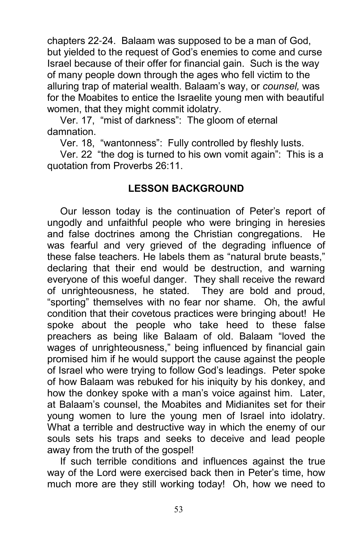chapters 22-24. Balaam was supposed to be a man of God, but yielded to the request of God's enemies to come and curse Israel because of their offer for financial gain. Such is the way of many people down through the ages who fell victim to the alluring trap of material wealth. Balaam's way, or counsel, was for the Moabites to entice the Israelite young men with beautiful women, that they might commit idolatry.

Ver. 17, "mist of darkness": The gloom of eternal damnation.

Ver. 18, "wantonness": Fully controlled by fleshly lusts.

Ver. 22 "the dog is turned to his own vomit again": This is a quotation from Proverbs 26:11.

### LESSON BACKGROUND

Our lesson today is the continuation of Peter's report of ungodly and unfaithful people who were bringing in heresies and false doctrines among the Christian congregations. He was fearful and very grieved of the degrading influence of these false teachers. He labels them as "natural brute beasts," declaring that their end would be destruction, and warning everyone of this woeful danger. They shall receive the reward of unrighteousness, he stated. They are bold and proud, "sporting" themselves with no fear nor shame. Oh, the awful condition that their covetous practices were bringing about! He spoke about the people who take heed to these false preachers as being like Balaam of old. Balaam "loved the wages of unrighteousness," being influenced by financial gain promised him if he would support the cause against the people of Israel who were trying to follow God's leadings. Peter spoke of how Balaam was rebuked for his iniquity by his donkey, and how the donkey spoke with a man's voice against him. Later, at Balaam's counsel, the Moabites and Midianites set for their young women to lure the young men of Israel into idolatry. What a terrible and destructive way in which the enemy of our souls sets his traps and seeks to deceive and lead people away from the truth of the gospel!

If such terrible conditions and influences against the true way of the Lord were exercised back then in Peter's time, how much more are they still working today! Oh, how we need to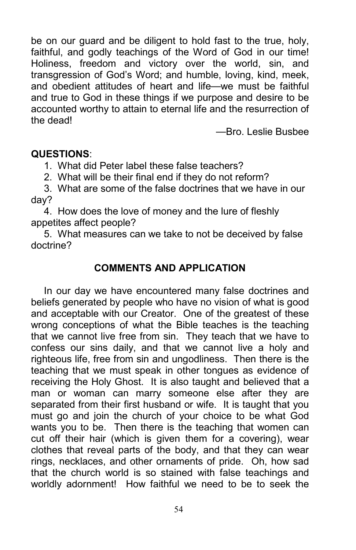be on our guard and be diligent to hold fast to the true, holy, faithful, and godly teachings of the Word of God in our time! Holiness, freedom and victory over the world, sin, and transgression of God's Word; and humble, loving, kind, meek, and obedient attitudes of heart and life—we must be faithful and true to God in these things if we purpose and desire to be accounted worthy to attain to eternal life and the resurrection of the dead!

—Bro. Leslie Busbee

### QUESTIONS:

1. What did Peter label these false teachers?

2. What will be their final end if they do not reform?

3. What are some of the false doctrines that we have in our day?

4. How does the love of money and the lure of fleshly appetites affect people?

5. What measures can we take to not be deceived by false doctrine?

### COMMENTS AND APPLICATION

In our day we have encountered many false doctrines and beliefs generated by people who have no vision of what is good and acceptable with our Creator. One of the greatest of these wrong conceptions of what the Bible teaches is the teaching that we cannot live free from sin. They teach that we have to confess our sins daily, and that we cannot live a holy and righteous life, free from sin and ungodliness. Then there is the teaching that we must speak in other tongues as evidence of receiving the Holy Ghost. It is also taught and believed that a man or woman can marry someone else after they are separated from their first husband or wife. It is taught that you must go and join the church of your choice to be what God wants you to be. Then there is the teaching that women can cut off their hair (which is given them for a covering), wear clothes that reveal parts of the body, and that they can wear rings, necklaces, and other ornaments of pride. Oh, how sad that the church world is so stained with false teachings and worldly adornment! How faithful we need to be to seek the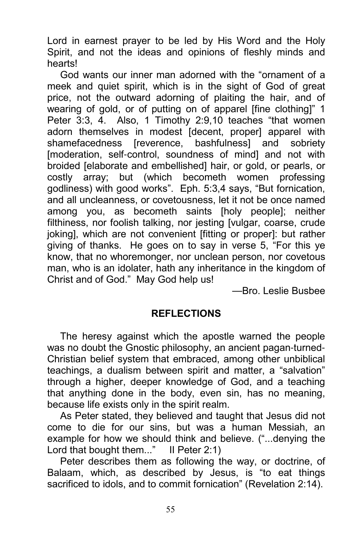Lord in earnest prayer to be led by His Word and the Holy Spirit, and not the ideas and opinions of fleshly minds and hearts!

God wants our inner man adorned with the "ornament of a meek and quiet spirit, which is in the sight of God of great price, not the outward adorning of plaiting the hair, and of wearing of gold, or of putting on of apparel [fine clothing]" 1 Peter 3:3, 4. Also, 1 Timothy 2:9,10 teaches "that women adorn themselves in modest [decent, proper] apparel with shamefacedness [reverence, bashfulness] and sobriety [moderation, self-control, soundness of mind] and not with broided [elaborate and embellished] hair, or gold, or pearls, or costly array; but (which becometh women professing godliness) with good works". Eph. 5:3,4 says, "But fornication, and all uncleanness, or covetousness, let it not be once named among you, as becometh saints [holy people]; neither filthiness, nor foolish talking, nor jesting [vulgar, coarse, crude joking], which are not convenient [fitting or proper]: but rather giving of thanks. He goes on to say in verse 5, "For this ye know, that no whoremonger, nor unclean person, nor covetous man, who is an idolater, hath any inheritance in the kingdom of Christ and of God." May God help us!

—Bro. Leslie Busbee

#### **REFLECTIONS**

The heresy against which the apostle warned the people was no doubt the Gnostic philosophy, an ancient pagan-turned-Christian belief system that embraced, among other unbiblical teachings, a dualism between spirit and matter, a "salvation" through a higher, deeper knowledge of God, and a teaching that anything done in the body, even sin, has no meaning, because life exists only in the spirit realm.

As Peter stated, they believed and taught that Jesus did not come to die for our sins, but was a human Messiah, an example for how we should think and believe. ("...denying the Lord that bought them..." II Peter 2:1)

Peter describes them as following the way, or doctrine, of Balaam, which, as described by Jesus, is "to eat things sacrificed to idols, and to commit fornication" (Revelation 2:14).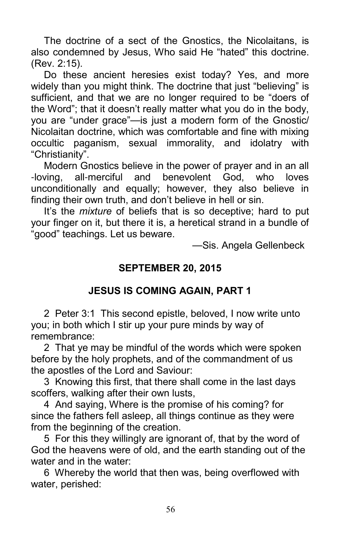The doctrine of a sect of the Gnostics, the Nicolaitans, is also condemned by Jesus, Who said He "hated" this doctrine. (Rev. 2:15).

Do these ancient heresies exist today? Yes, and more widely than you might think. The doctrine that just "believing" is sufficient, and that we are no longer required to be "doers of the Word"; that it doesn't really matter what you do in the body, you are "under grace"—is just a modern form of the Gnostic/ Nicolaitan doctrine, which was comfortable and fine with mixing occultic paganism, sexual immorality, and idolatry with "Christianity".

Modern Gnostics believe in the power of prayer and in an all -loving, all-merciful and benevolent God, who loves unconditionally and equally; however, they also believe in finding their own truth, and don't believe in hell or sin.

It's the *mixture* of beliefs that is so deceptive; hard to put your finger on it, but there it is, a heretical strand in a bundle of "good" teachings. Let us beware.

—Sis. Angela Gellenbeck

## SEPTEMBER 20, 2015

# JESUS IS COMING AGAIN, PART 1

2 Peter 3:1 This second epistle, beloved, I now write unto you; in both which I stir up your pure minds by way of remembrance:

2 That ye may be mindful of the words which were spoken before by the holy prophets, and of the commandment of us the apostles of the Lord and Saviour:

3 Knowing this first, that there shall come in the last days scoffers, walking after their own lusts,

4 And saying, Where is the promise of his coming? for since the fathers fell asleep, all things continue as they were from the beginning of the creation.

5 For this they willingly are ignorant of, that by the word of God the heavens were of old, and the earth standing out of the water and in the water:

6 Whereby the world that then was, being overflowed with water, perished: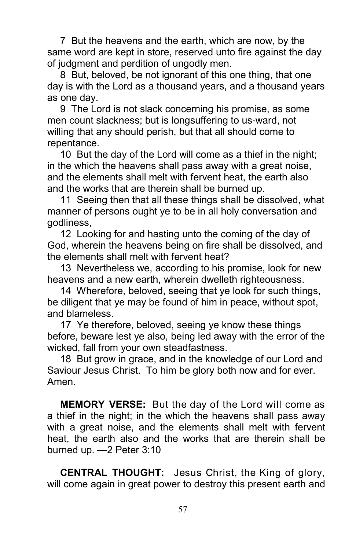7 But the heavens and the earth, which are now, by the same word are kept in store, reserved unto fire against the day of judgment and perdition of ungodly men.

8 But, beloved, be not ignorant of this one thing, that one day is with the Lord as a thousand years, and a thousand years as one day.

9 The Lord is not slack concerning his promise, as some men count slackness; but is longsuffering to us-ward, not willing that any should perish, but that all should come to repentance.

10 But the day of the Lord will come as a thief in the night; in the which the heavens shall pass away with a great noise, and the elements shall melt with fervent heat, the earth also and the works that are therein shall be burned up.

11 Seeing then that all these things shall be dissolved, what manner of persons ought ye to be in all holy conversation and godliness,

12 Looking for and hasting unto the coming of the day of God, wherein the heavens being on fire shall be dissolved, and the elements shall melt with fervent heat?

13 Nevertheless we, according to his promise, look for new heavens and a new earth, wherein dwelleth righteousness.

14 Wherefore, beloved, seeing that ye look for such things, be diligent that ye may be found of him in peace, without spot, and blameless.

17 Ye therefore, beloved, seeing ye know these things before, beware lest ye also, being led away with the error of the wicked, fall from your own steadfastness.

18 But grow in grace, and in the knowledge of our Lord and Saviour Jesus Christ. To him be glory both now and for ever. Amen.

MEMORY VERSE: But the day of the Lord will come as a thief in the night; in the which the heavens shall pass away with a great noise, and the elements shall melt with fervent heat, the earth also and the works that are therein shall be burned up. —2 Peter 3:10

CENTRAL THOUGHT: Jesus Christ, the King of glory, will come again in great power to destroy this present earth and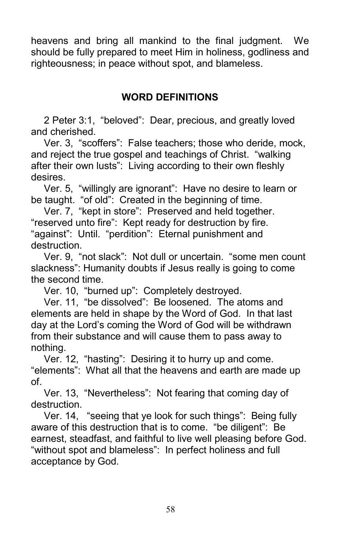heavens and bring all mankind to the final judgment. We should be fully prepared to meet Him in holiness, godliness and righteousness; in peace without spot, and blameless.

## WORD DEFINITIONS

2 Peter 3:1, "beloved": Dear, precious, and greatly loved and cherished.

Ver. 3, "scoffers": False teachers; those who deride, mock, and reject the true gospel and teachings of Christ. "walking after their own lusts": Living according to their own fleshly desires.

Ver. 5, "willingly are ignorant": Have no desire to learn or be taught. "of old": Created in the beginning of time.

Ver. 7, "kept in store": Preserved and held together. "reserved unto fire": Kept ready for destruction by fire. "against": Until. "perdition": Eternal punishment and destruction.

Ver. 9, "not slack": Not dull or uncertain. "some men count slackness": Humanity doubts if Jesus really is going to come the second time.

Ver. 10, "burned up": Completely destroyed.

Ver. 11, "be dissolved": Be loosened. The atoms and elements are held in shape by the Word of God. In that last day at the Lord's coming the Word of God will be withdrawn from their substance and will cause them to pass away to nothing.

Ver. 12, "hasting": Desiring it to hurry up and come. "elements": What all that the heavens and earth are made up of.

Ver. 13, "Nevertheless": Not fearing that coming day of destruction.

Ver. 14, "seeing that ye look for such things": Being fully aware of this destruction that is to come. "be diligent": Be earnest, steadfast, and faithful to live well pleasing before God. "without spot and blameless": In perfect holiness and full acceptance by God.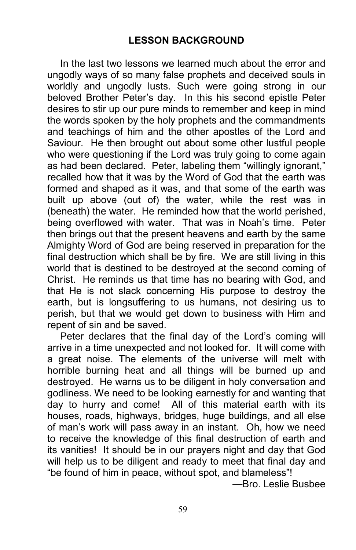In the last two lessons we learned much about the error and ungodly ways of so many false prophets and deceived souls in worldly and ungodly lusts. Such were going strong in our beloved Brother Peter's day. In this his second epistle Peter desires to stir up our pure minds to remember and keep in mind the words spoken by the holy prophets and the commandments and teachings of him and the other apostles of the Lord and Saviour. He then brought out about some other lustful people who were questioning if the Lord was truly going to come again as had been declared. Peter, labeling them "willingly ignorant," recalled how that it was by the Word of God that the earth was formed and shaped as it was, and that some of the earth was built up above (out of) the water, while the rest was in (beneath) the water. He reminded how that the world perished, being overflowed with water. That was in Noah's time. Peter then brings out that the present heavens and earth by the same Almighty Word of God are being reserved in preparation for the final destruction which shall be by fire. We are still living in this world that is destined to be destroyed at the second coming of Christ. He reminds us that time has no bearing with God, and that He is not slack concerning His purpose to destroy the earth, but is longsuffering to us humans, not desiring us to perish, but that we would get down to business with Him and repent of sin and be saved.

Peter declares that the final day of the Lord's coming will arrive in a time unexpected and not looked for. It will come with a great noise. The elements of the universe will melt with horrible burning heat and all things will be burned up and destroyed. He warns us to be diligent in holy conversation and godliness. We need to be looking earnestly for and wanting that day to hurry and come! All of this material earth with its houses, roads, highways, bridges, huge buildings, and all else of man's work will pass away in an instant. Oh, how we need to receive the knowledge of this final destruction of earth and its vanities! It should be in our prayers night and day that God will help us to be diligent and ready to meet that final day and "be found of him in peace, without spot, and blameless"!

—Bro. Leslie Busbee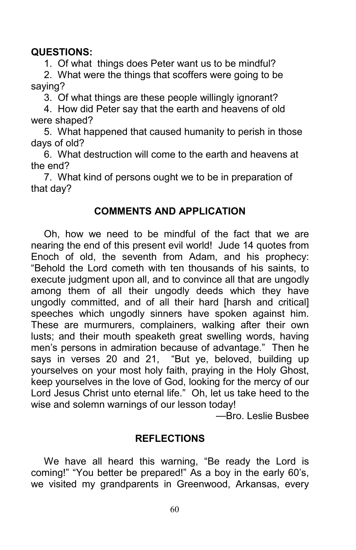## QUESTIONS:

1. Of what things does Peter want us to be mindful?

2. What were the things that scoffers were going to be saying?

3. Of what things are these people willingly ignorant?

4. How did Peter say that the earth and heavens of old were shaped?

5. What happened that caused humanity to perish in those days of old?

6. What destruction will come to the earth and heavens at the end?

7. What kind of persons ought we to be in preparation of that day?

## COMMENTS AND APPLICATION

Oh, how we need to be mindful of the fact that we are nearing the end of this present evil world! Jude 14 quotes from Enoch of old, the seventh from Adam, and his prophecy: "Behold the Lord cometh with ten thousands of his saints, to execute judgment upon all, and to convince all that are ungodly among them of all their ungodly deeds which they have ungodly committed, and of all their hard [harsh and critical] speeches which ungodly sinners have spoken against him. These are murmurers, complainers, walking after their own lusts; and their mouth speaketh great swelling words, having men's persons in admiration because of advantage." Then he says in verses 20 and 21, "But ye, beloved, building up yourselves on your most holy faith, praying in the Holy Ghost, keep yourselves in the love of God, looking for the mercy of our Lord Jesus Christ unto eternal life." Oh, let us take heed to the wise and solemn warnings of our lesson today!

—Bro. Leslie Busbee

## REFLECTIONS

We have all heard this warning, "Be ready the Lord is coming!" "You better be prepared!" As a boy in the early 60's, we visited my grandparents in Greenwood, Arkansas, every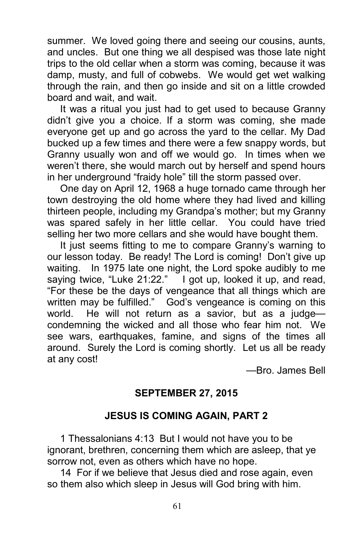summer. We loved going there and seeing our cousins, aunts, and uncles. But one thing we all despised was those late night trips to the old cellar when a storm was coming, because it was damp, musty, and full of cobwebs. We would get wet walking through the rain, and then go inside and sit on a little crowded board and wait, and wait.

It was a ritual you just had to get used to because Granny didn't give you a choice. If a storm was coming, she made everyone get up and go across the yard to the cellar. My Dad bucked up a few times and there were a few snappy words, but Granny usually won and off we would go. In times when we weren't there, she would march out by herself and spend hours in her underground "fraidy hole" till the storm passed over.

One day on April 12, 1968 a huge tornado came through her town destroying the old home where they had lived and killing thirteen people, including my Grandpa's mother; but my Granny was spared safely in her little cellar. You could have tried selling her two more cellars and she would have bought them.

It just seems fitting to me to compare Granny's warning to our lesson today. Be ready! The Lord is coming! Don't give up waiting. In 1975 late one night, the Lord spoke audibly to me saying twice, "Luke 21:22." I got up, looked it up, and read, "For these be the days of vengeance that all things which are written may be fulfilled." God's vengeance is coming on this world. He will not return as a savior, but as a judge condemning the wicked and all those who fear him not. We see wars, earthquakes, famine, and signs of the times all around. Surely the Lord is coming shortly. Let us all be ready at any cost!

—Bro. James Bell

# SEPTEMBER 27, 2015

# JESUS IS COMING AGAIN, PART 2

1 Thessalonians 4:13 But I would not have you to be ignorant, brethren, concerning them which are asleep, that ye sorrow not, even as others which have no hope.

14 For if we believe that Jesus died and rose again, even so them also which sleep in Jesus will God bring with him.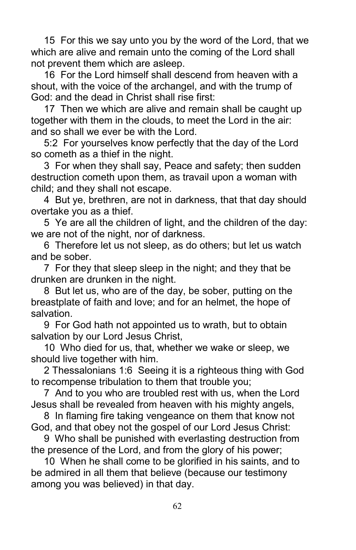15 For this we say unto you by the word of the Lord, that we which are alive and remain unto the coming of the Lord shall not prevent them which are asleep.

16 For the Lord himself shall descend from heaven with a shout, with the voice of the archangel, and with the trump of God: and the dead in Christ shall rise first:

17 Then we which are alive and remain shall be caught up together with them in the clouds, to meet the Lord in the air: and so shall we ever be with the Lord.

5:2 For yourselves know perfectly that the day of the Lord so cometh as a thief in the night.

3 For when they shall say, Peace and safety; then sudden destruction cometh upon them, as travail upon a woman with child; and they shall not escape.

4 But ye, brethren, are not in darkness, that that day should overtake you as a thief.

5 Ye are all the children of light, and the children of the day: we are not of the night, nor of darkness.

6 Therefore let us not sleep, as do others; but let us watch and be sober.

7 For they that sleep sleep in the night; and they that be drunken are drunken in the night.

8 But let us, who are of the day, be sober, putting on the breastplate of faith and love; and for an helmet, the hope of salvation.

9 For God hath not appointed us to wrath, but to obtain salvation by our Lord Jesus Christ,

10 Who died for us, that, whether we wake or sleep, we should live together with him.

2 Thessalonians 1:6 Seeing it is a righteous thing with God to recompense tribulation to them that trouble you;

7 And to you who are troubled rest with us, when the Lord Jesus shall be revealed from heaven with his mighty angels,

8 In flaming fire taking vengeance on them that know not God, and that obey not the gospel of our Lord Jesus Christ:

9 Who shall be punished with everlasting destruction from the presence of the Lord, and from the glory of his power;

10 When he shall come to be glorified in his saints, and to be admired in all them that believe (because our testimony among you was believed) in that day.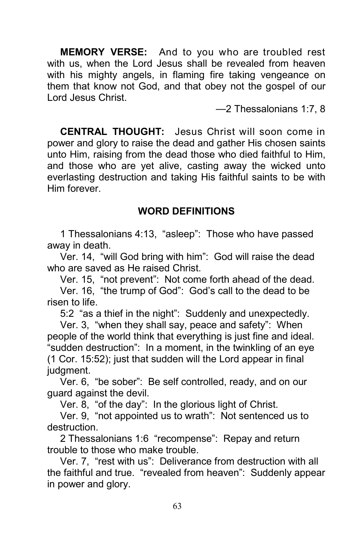MEMORY VERSE: And to you who are troubled rest with us, when the Lord Jesus shall be revealed from heaven with his mighty angels, in flaming fire taking vengeance on them that know not God, and that obey not the gospel of our Lord Jesus Christ.

—2 Thessalonians 1:7, 8

CENTRAL THOUGHT: Jesus Christ will soon come in power and glory to raise the dead and gather His chosen saints unto Him, raising from the dead those who died faithful to Him, and those who are yet alive, casting away the wicked unto everlasting destruction and taking His faithful saints to be with Him forever.

### WORD DEFINITIONS

1 Thessalonians 4:13, "asleep": Those who have passed away in death.

Ver. 14, "will God bring with him": God will raise the dead who are saved as He raised Christ.

Ver. 15, "not prevent": Not come forth ahead of the dead.

Ver. 16, "the trump of God": God's call to the dead to be risen to life.

5:2 "as a thief in the night": Suddenly and unexpectedly.

Ver. 3, "when they shall say, peace and safety": When people of the world think that everything is just fine and ideal. "sudden destruction": In a moment, in the twinkling of an eye (1 Cor. 15:52); just that sudden will the Lord appear in final judgment.

Ver. 6, "be sober": Be self controlled, ready, and on our guard against the devil.

Ver. 8, "of the day": In the glorious light of Christ.

Ver. 9, "not appointed us to wrath": Not sentenced us to destruction.

2 Thessalonians 1:6 "recompense": Repay and return trouble to those who make trouble.

Ver. 7, "rest with us": Deliverance from destruction with all the faithful and true. "revealed from heaven": Suddenly appear in power and glory.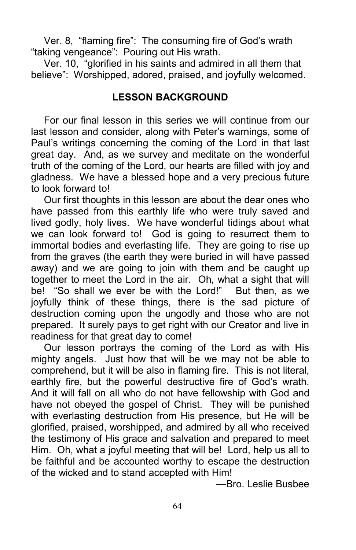Ver. 8, "flaming fire": The consuming fire of God's wrath "taking vengeance": Pouring out His wrath.

Ver. 10, "glorified in his saints and admired in all them that believe": Worshipped, adored, praised, and joyfully welcomed.

## LESSON BACKGROUND

For our final lesson in this series we will continue from our last lesson and consider, along with Peter's warnings, some of Paul's writings concerning the coming of the Lord in that last great day. And, as we survey and meditate on the wonderful truth of the coming of the Lord, our hearts are filled with joy and gladness. We have a blessed hope and a very precious future to look forward to!

Our first thoughts in this lesson are about the dear ones who have passed from this earthly life who were truly saved and lived godly, holy lives. We have wonderful tidings about what we can look forward to! God is going to resurrect them to immortal bodies and everlasting life. They are going to rise up from the graves (the earth they were buried in will have passed away) and we are going to join with them and be caught up together to meet the Lord in the air. Oh, what a sight that will be! "So shall we ever be with the Lord!" But then, as we joyfully think of these things, there is the sad picture of destruction coming upon the ungodly and those who are not prepared. It surely pays to get right with our Creator and live in readiness for that great day to come!

Our lesson portrays the coming of the Lord as with His mighty angels. Just how that will be we may not be able to comprehend, but it will be also in flaming fire. This is not literal, earthly fire, but the powerful destructive fire of God's wrath. And it will fall on all who do not have fellowship with God and have not obeyed the gospel of Christ. They will be punished with everlasting destruction from His presence, but He will be glorified, praised, worshipped, and admired by all who received the testimony of His grace and salvation and prepared to meet Him. Oh, what a joyful meeting that will be! Lord, help us all to be faithful and be accounted worthy to escape the destruction of the wicked and to stand accepted with Him!

—Bro. Leslie Busbee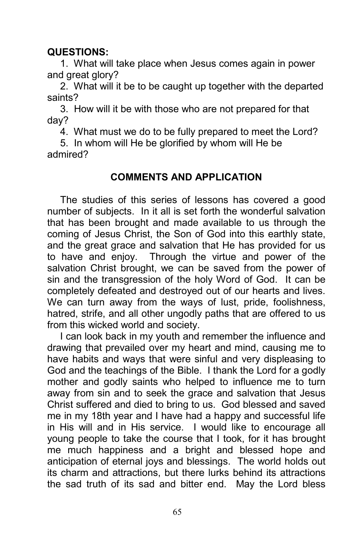## QUESTIONS:

1. What will take place when Jesus comes again in power and great glory?

2. What will it be to be caught up together with the departed saints?

3. How will it be with those who are not prepared for that day?

4. What must we do to be fully prepared to meet the Lord?

5. In whom will He be glorified by whom will He be admired?

## COMMENTS AND APPLICATION

The studies of this series of lessons has covered a good number of subjects. In it all is set forth the wonderful salvation that has been brought and made available to us through the coming of Jesus Christ, the Son of God into this earthly state, and the great grace and salvation that He has provided for us to have and enjoy. Through the virtue and power of the salvation Christ brought, we can be saved from the power of sin and the transgression of the holy Word of God. It can be completely defeated and destroyed out of our hearts and lives. We can turn away from the ways of lust, pride, foolishness, hatred, strife, and all other ungodly paths that are offered to us from this wicked world and society.

I can look back in my youth and remember the influence and drawing that prevailed over my heart and mind, causing me to have habits and ways that were sinful and very displeasing to God and the teachings of the Bible. I thank the Lord for a godly mother and godly saints who helped to influence me to turn away from sin and to seek the grace and salvation that Jesus Christ suffered and died to bring to us. God blessed and saved me in my 18th year and I have had a happy and successful life in His will and in His service. I would like to encourage all young people to take the course that I took, for it has brought me much happiness and a bright and blessed hope and anticipation of eternal joys and blessings. The world holds out its charm and attractions, but there lurks behind its attractions the sad truth of its sad and bitter end. May the Lord bless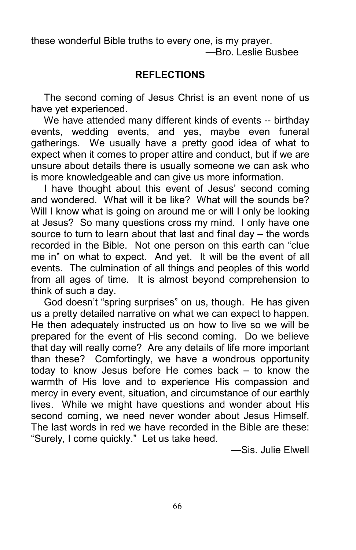these wonderful Bible truths to every one, is my prayer. —Bro. Leslie Busbee

## REFLECTIONS

The second coming of Jesus Christ is an event none of us have yet experienced.

We have attended many different kinds of events -- birthday events, wedding events, and yes, maybe even funeral gatherings. We usually have a pretty good idea of what to expect when it comes to proper attire and conduct, but if we are unsure about details there is usually someone we can ask who is more knowledgeable and can give us more information.

I have thought about this event of Jesus' second coming and wondered. What will it be like? What will the sounds be? Will I know what is going on around me or will I only be looking at Jesus? So many questions cross my mind. I only have one source to turn to learn about that last and final day – the words recorded in the Bible. Not one person on this earth can "clue me in" on what to expect. And yet. It will be the event of all events. The culmination of all things and peoples of this world from all ages of time. It is almost beyond comprehension to think of such a day.

God doesn't "spring surprises" on us, though. He has given us a pretty detailed narrative on what we can expect to happen. He then adequately instructed us on how to live so we will be prepared for the event of His second coming. Do we believe that day will really come? Are any details of life more important than these? Comfortingly, we have a wondrous opportunity today to know Jesus before He comes back – to know the warmth of His love and to experience His compassion and mercy in every event, situation, and circumstance of our earthly lives. While we might have questions and wonder about His second coming, we need never wonder about Jesus Himself. The last words in red we have recorded in the Bible are these: "Surely, I come quickly." Let us take heed.

—Sis. Julie Elwell

66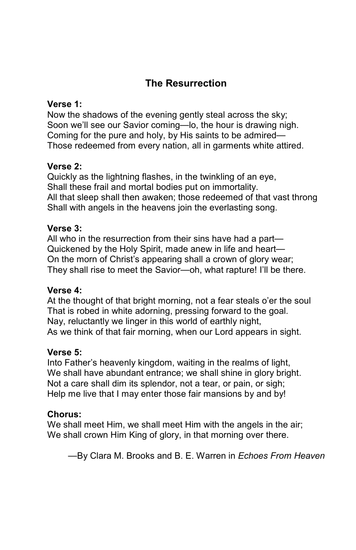# The Resurrection

#### Verse 1:

Now the shadows of the evening gently steal across the sky; Soon we'll see our Savior coming—lo, the hour is drawing nigh. Coming for the pure and holy, by His saints to be admired— Those redeemed from every nation, all in garments white attired.

#### Verse 2:

Quickly as the lightning flashes, in the twinkling of an eye, Shall these frail and mortal bodies put on immortality. All that sleep shall then awaken; those redeemed of that vast throng Shall with angels in the heavens join the everlasting song.

#### Verse 3:

All who in the resurrection from their sins have had a part— Quickened by the Holy Spirit, made anew in life and heart— On the morn of Christ's appearing shall a crown of glory wear; They shall rise to meet the Savior—oh, what rapture! I'll be there.

#### Verse 4:

At the thought of that bright morning, not a fear steals o'er the soul That is robed in white adorning, pressing forward to the goal. Nay, reluctantly we linger in this world of earthly night, As we think of that fair morning, when our Lord appears in sight.

#### Verse 5:

Into Father's heavenly kingdom, waiting in the realms of light, We shall have abundant entrance; we shall shine in glory bright. Not a care shall dim its splendor, not a tear, or pain, or sigh; Help me live that I may enter those fair mansions by and by!

#### Chorus:

We shall meet Him, we shall meet Him with the angels in the air; We shall crown Him King of glory, in that morning over there.

—By Clara M. Brooks and B. E. Warren in Echoes From Heaven